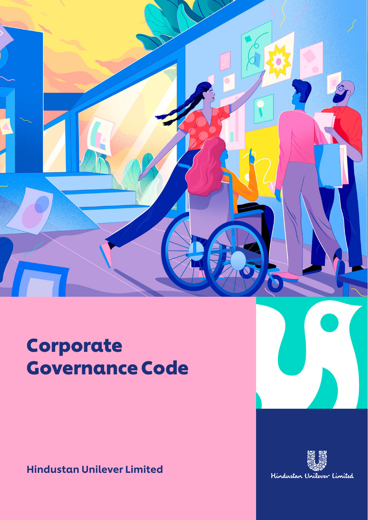

Corporate Governance Code 01

# Corporate Governance Code

Hindustan Unilever Limited

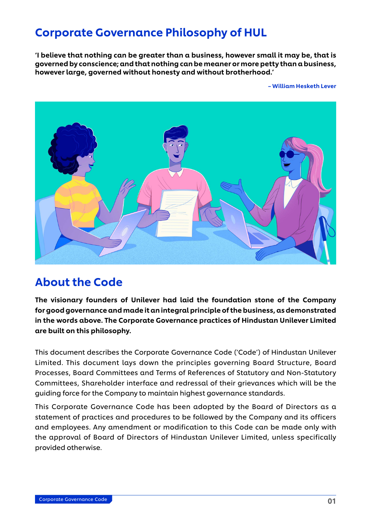# Corporate Governance Philosophy of HUL

'I believe that nothing can be greater than a business, however small it may be, that is governed by conscience; and that nothing can be meaner or more petty than a business, however large, governed without honesty and without brotherhood.'

– William Hesketh Lever



# About the Code

The visionary founders of Unilever had laid the foundation stone of the Company for good governance and made it an integral principle of the business, as demonstrated in the words above. The Corporate Governance practices of Hindustan Unilever Limited are built on this philosophy.

This document describes the Corporate Governance Code ('Code') of Hindustan Unilever Limited. This document lays down the principles governing Board Structure, Board Processes, Board Committees and Terms of References of Statutory and Non-Statutory Committees, Shareholder interface and redressal of their grievances which will be the guiding force for the Company to maintain highest governance standards.

This Corporate Governance Code has been adopted by the Board of Directors as a statement of practices and procedures to be followed by the Company and its officers and employees. Any amendment or modification to this Code can be made only with the approval of Board of Directors of Hindustan Unilever Limited, unless specifically provided otherwise.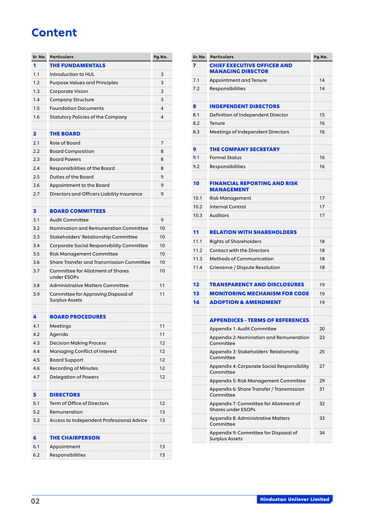# **Content**

| Sr. No. | <b>Particulars</b>                                      | Pg.No.   | Sr. No. | <b>Particulars</b>                                             | Pg.No. |
|---------|---------------------------------------------------------|----------|---------|----------------------------------------------------------------|--------|
| 1       | <b>THE FUNDAMENTALS</b>                                 |          | 7       | CHIEF EXECUTIVE OFFICER AND<br><b>MANAGING DIRECTOR</b>        |        |
| 1.1     | Introduction to HUL                                     | 3        | 7.1     | Appointment and Tenure                                         | 14     |
| 1.2     | <b>Purpose Values and Principles</b>                    | 3        | 7.2     | Responsibilities                                               | 14     |
| 1.3     | <b>Corporate Vision</b>                                 | 3        |         |                                                                |        |
| 1.4     | <b>Company Structure</b>                                | 3        | 8       | <b>INDEPENDENT DIRECTORS</b>                                   |        |
| 1.5     | <b>Foundation Documents</b>                             | 4        | 8.1     | Definition of Independent Director                             | 15     |
| 1.6     | Statutory Policies of the Company                       | 4        | 8.2     | Tenure                                                         | 16     |
|         |                                                         |          | 8.3     | Meetings of Independent Directors                              | 16     |
| 2       | <b>THE BOARD</b>                                        |          |         |                                                                |        |
| 2.1     | Role of Board                                           | 7        | 9       | <b>THE COMPANY SECRETARY</b>                                   |        |
| 2.2     | <b>Board Composition</b>                                | 8        | 9.1     | <b>Formal Status</b>                                           | 16     |
| 2.3     | <b>Board Powers</b>                                     | 8        | 9.2     | Responsibilities                                               | 16     |
| 2.4     | Responsibilities of the Board                           | 8        |         |                                                                |        |
| 2.5     | Duties of the Board                                     | 9        | 10      | <b>FINANCIAL REPORTING AND RISK</b>                            |        |
| 2.6     | Appointment to the Board                                | 9        |         | <b>MANAGEMENT</b>                                              |        |
| 2.7     | Directors and Officers Liability Insurance              | 9        | 10.1    | Risk Management                                                | 17     |
|         |                                                         |          | 10.2    | <b>Internal Control</b>                                        | 17     |
| 3       | <b>BOARD COMMITTEES</b>                                 |          | 10.3    | Auditors                                                       | 17     |
| 3.1     | <b>Audit Committee</b>                                  | 9        |         |                                                                |        |
| 3.2     | Nomination and Remuneration Committee                   | 10       | 11      | <b>RELATION WITH SHAREHOLDERS</b>                              |        |
| 3.3     | Stakeholders' Relationship Committee                    | 10       | 11.1    | <b>Rights of Shareholders</b>                                  | 18     |
| 3.4     | Corporate Social Responsibility Committee               | 10       | 11.2    | <b>Contact with the Directors</b>                              | 18     |
| 3.5     | Risk Management Committee                               | 10       | 11.3    | Methods of Communication                                       | 18     |
| 3.6     | Share Transfer and Transmission Committee               | 10       | 11.4    | Grievance / Dispute Resolution                                 | 18     |
| 3.7     | <b>Committee for Allotment of Shares</b><br>under ESOPs | 10       |         |                                                                |        |
| 3.8     | <b>Administrative Matters Committee</b>                 | 11       | 12      | <b>TRANSPARENCY AND DISCLOSURES</b>                            | 19     |
| 3.9     | Committee for Approving Disposal of                     | 11       | 13      | <b>MONITORING MECHANISM FOR CODE</b>                           | 19     |
|         | <b>Surplus Assets</b>                                   |          | 14      | <b>ADOPTION &amp; AMENDMENT</b>                                | 19     |
| 4       | <b>BOARD PROCEDURES</b>                                 |          |         | <b>APPENDICES - TERMS OF REFERENCES</b>                        |        |
| 4.1     | Meetings                                                | 11       |         | Appendix 1: Audit Committee                                    | 20     |
| 4.2     | Agenda                                                  | 11       |         | Appendix 2: Nomination and Remuneration                        | 23     |
| 4.3     | <b>Decision Making Process</b>                          | 12       |         | Committee                                                      |        |
| 4.4     | Managing Conflict of Interest                           | 12<br>12 |         | Appendix 3: Stakeholders' Relationship<br>Committee            | 25     |
| 4.5     | <b>Board Support</b><br><b>Recording of Minutes</b>     | 12       |         | Appendix 4: Corporate Social Responsibility                    | 27     |
| 4.6     |                                                         | 12       |         | Committee                                                      |        |
| 4.7     | <b>Delegation of Powers</b>                             |          |         | Appendix 5: Risk Management Committee                          | 29     |
| 5       | <b>DIRECTORS</b>                                        |          |         | Appendix 6: Share Transfer / Transmission<br>Committee         | 31     |
| 5.1     | Term of Office of Directors                             | 12       |         | Appendix 7: Committee for Allotment of                         | 32     |
| 5.2     | Remuneration                                            | 13       |         | <b>Shares under ESOPs</b>                                      |        |
| 5.3     | Access to Independent Professional Advice               | 13       |         | Appendix 8: Administrative Matters<br>Committee                | 33     |
| 6       | <b>THE CHAIRPERSON</b>                                  |          |         | Appendix 9: Committee for Disposal of<br><b>Surplus Assets</b> | 34     |
| 6.1     | Appointment                                             | 13       |         |                                                                |        |
| 6.2     | Responsibilities                                        | 13       |         |                                                                |        |
|         |                                                         |          |         |                                                                |        |

| Sr. No. | Particulars                                                         | Pg.No. |
|---------|---------------------------------------------------------------------|--------|
| 7       | <b>CHIEF EXECUTIVE OFFICER AND</b><br><b>MANAGING DIRECTOR</b>      |        |
| 7.1     | Appointment and Tenure                                              | 14     |
| 7.2     | Responsibilities                                                    | 14     |
|         |                                                                     |        |
| 8       | <b>INDEPENDENT DIRECTORS</b>                                        |        |
| 8.1     | Definition of Independent Director                                  | 15     |
| 8.2     | Tenure                                                              | 16     |
| 8.3     | Meetings of Independent Directors                                   | 16     |
|         |                                                                     |        |
| 9       | <b>THE COMPANY SECRETARY</b>                                        |        |
| 9.1     | <b>Formal Status</b>                                                | 16     |
| 9.2     | Responsibilities                                                    | 16     |
|         |                                                                     |        |
| 10      | FINANCIAL REPORTING AND RISK<br><b>MANAGEMENT</b>                   |        |
| 10.1    | Risk Management                                                     | 17     |
| 10.2    | <b>Internal Control</b>                                             | 17     |
| 10.3    | <b>Auditors</b>                                                     | 17     |
|         |                                                                     |        |
| 11      | <b>RELATION WITH SHAREHOLDERS</b>                                   |        |
| 11.1    | <b>Rights of Shareholders</b>                                       | 18     |
| 11.2    | <b>Contact with the Directors</b>                                   | 18     |
| 11.3    | <b>Methods of Communication</b>                                     | 18     |
| 11.4    | Grievance / Dispute Resolution                                      | 18     |
|         |                                                                     |        |
| 12      | TRANSPARENCY AND DISCLOSURES                                        | 19     |
| 13      | <b>MONITORING MECHANISM FOR CODE</b>                                | 19     |
| 14      | <b>ADOPTION &amp; AMENDMENT</b>                                     | 19     |
|         |                                                                     |        |
|         | APPENDICES - TERMS OF REFERENCES                                    |        |
|         | Appendix 1: Audit Committee                                         | つの     |
|         | Appendix 2: Nomination and Remuneration<br>Committee                | 23     |
|         | Appendix 3: Stakeholders' Relationship<br>Committee                 | 25     |
|         | Appendix 4: Corporate Social Responsibility<br>Committee            | 27     |
|         | Appendix 5: Risk Management Committee                               | 29     |
|         | Appendix 6: Share Transfer / Transmission<br>Committee              | 31     |
|         | Appendix 7: Committee for Allotment of<br><b>Shares under ESOPs</b> | 32     |
|         | Appendix 8: Administrative Matters<br>Committee                     | 33     |
|         | Appendix 9: Committee for Disposal of<br><b>Surplus Assets</b>      | 34     |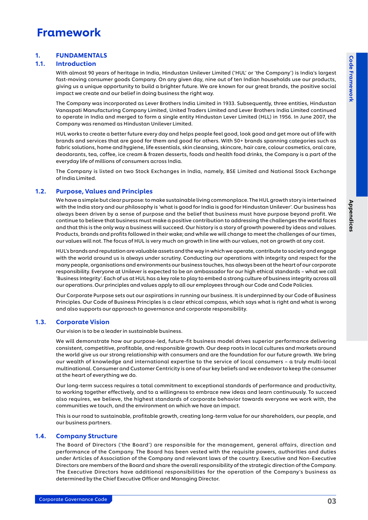# <span id="page-3-0"></span>Framework

# 1. FUNDAMENTALS

# 1.1. Introduction

With almost 90 years of heritage in India, Hindustan Unilever Limited ('HUL' or 'the Company') is India's largest fast-moving consumer goods Company. On any given day, nine out of ten Indian households use our products, giving us a unique opportunity to build a brighter future. We are known for our great brands, the positive social impact we create and our belief in doing business the right way.

The Company was incorporated as Lever Brothers India Limited in 1933. Subsequently, three entities, Hindustan Vanaspati Manufacturing Company Limited, United Traders Limited and Lever Brothers India Limited continued to operate in India and merged to form a single entity Hindustan Lever Limited (HLL) in 1956. In June 2007, the Company was renamed as Hindustan Unilever Limited.

HUL works to create a better future every day and helps people feel good, look good and get more out of life with brands and services that are good for them and good for others. With 50+ brands spanning categories such as fabric solutions, home and hygiene, life essentials, skin cleansing, skincare, hair care, colour cosmetics, oral care, deodorants, tea, coffee, ice cream & frozen desserts, foods and health food drinks, the Company is a part of the everyday life of millions of consumers across India.

The Company is listed on two Stock Exchanges in India, namely, BSE Limited and National Stock Exchange of India Limited.

# 1.2. Purpose, Values and Principles

We have a simple but clear purpose: to make sustainable living commonplace. The HUL growth story is intertwined with the India story and our philosophy is 'what is good for India is good for Hindustan Unilever'. Our business has always been driven by a sense of purpose and the belief that business must have purpose beyond profit. We continue to believe that business must make a positive contribution to addressing the challenges the world faces and that this is the only way a business will succeed. Our history is a story of growth powered by ideas and values. Products, brands and profits followed in their wake; and while we will change to meet the challenges of our times, our values will not. The focus of HUL is very much on growth in line with our values, not on growth at any cost.

HUL's brands and reputation are valuable assets and the way in which we operate, contribute to society and engage with the world around us is always under scrutiny. Conducting our operations with integrity and respect for the many people, organisations and environments our business touches, has always been at the heart of our corporate responsibility. Everyone at Unilever is expected to be an ambassador for our high ethical standards – what we call 'Business Integrity'. Each of us at HUL has a key role to play to embed a strong culture of business integrity across all our operations. Our principles and values apply to all our employees through our Code and Code Policies.

Our Corporate Purpose sets out our aspirations in running our business. It is underpinned by our Code of Business Principles. Our Code of Business Principles is a clear ethical compass, which says what is right and what is wrong and also supports our approach to governance and corporate responsibility.

# 1.3. Corporate Vision

Our vision is to be a leader in sustainable business.

We will demonstrate how our purpose-led, future-fit business model drives superior performance delivering consistent, competitive, profitable, and responsible growth. Our deep roots in local cultures and markets around the world give us our strong relationship with consumers and are the foundation for our future growth. We bring our wealth of knowledge and international expertise to the service of local consumers – a truly multi-local multinational. Consumer and Customer Centricity is one of our key beliefs and we endeavor to keep the consumer at the heart of everything we do.

Our long-term success requires a total commitment to exceptional standards of performance and productivity, to working together effectively, and to a willingness to embrace new ideas and learn continuously. To succeed also requires, we believe, the highest standards of corporate behavior towards everyone we work with, the communities we touch, and the environment on which we have an impact.

This is our road to sustainable, profitable growth, creating long-term value for our shareholders, our people, and our business partners.

# 1.4. Company Structure

The Board of Directors ('the Board') are responsible for the management, general affairs, direction and performance of the Company. The Board has been vested with the requisite powers, authorities and duties under Articles of Association of the Company and relevant laws of the country. Executive and Non-Executive Directors are members of the Board and share the overall responsibility of the strategic direction of the Company. The Executive Directors have additional responsibilities for the operation of the Company's business as determined by the Chief Executive Officer and Managing Director.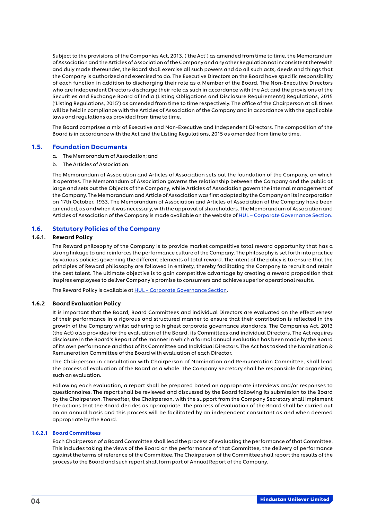<span id="page-4-0"></span>Subject to the provisions of the Companies Act, 2013, ('the Act') as amended from time to time, the Memorandum of Association and the Articles of Association of the Company and any other Regulation not inconsistent therewith and duly made thereunder, the Board shall exercise all such powers and do all such acts, deeds and things that the Company is authorized and exercised to do. The Executive Directors on the Board have specific responsibility of each function in addition to discharging their role as a Member of the Board. The Non-Executive Directors who are Independent Directors discharge their role as such in accordance with the Act and the provisions of the Securities and Exchange Board of India (Listing Obligations and Disclosure Requirements) Regulations, 2015 ('Listing Regulations, 2015') as amended from time to time respectively. The office of the Chairperson at all times will be held in compliance with the Articles of Association of the Company and in accordance with the applicable laws and regulations as provided from time to time.

The Board comprises a mix of Executive and Non-Executive and Independent Directors. The composition of the Board is in accordance with the Act and the Listing Regulations, 2015 as amended from time to time.

#### 1.5. Foundation Documents

- a. The Memorandum of Association; and
- b. The Articles of Association.

The Memorandum of Association and Articles of Association sets out the foundation of the Company, on which it operates. The Memorandum of Association governs the relationship between the Company and the public at large and sets out the Objects of the Company, while Articles of Association govern the internal management of the Company. The Memorandum and Article of Association was first adopted by the Company on its incorporation on 17th October, 1933. The Memorandum of Association and Articles of Association of the Company have been amended, as and when it was necessary, with the approval of shareholders. The Memorandum of Association and Articles of Association of the Company is made available on the website of HUL - Corporate Governance Section.

# 1.6. Statutory Policies of the Company

#### 1.6.1. Reward Policy

The Reward philosophy of the Company is to provide market competitive total reward opportunity that has a strong linkage to and reinforces the performance culture of the Company. The philosophy is set forth into practice by various policies governing the different elements of total reward. The intent of the policy is to ensure that the principles of Reward philosophy are followed in entirety, thereby facilitating the Company to recruit and retain the best talent. The ultimate objective is to gain competitive advantage by creating a reward proposition that inspires employees to deliver Company's promise to consumers and achieve superior operational results.

The Reward Policy is available at **HUL** - Corporate Governance Section.

#### 1.6.2 Board Evaluation Policy

It is important that the Board, Board Committees and individual Directors are evaluated on the effectiveness of their performance in a rigorous and structured manner to ensure that their contribution is reflected in the growth of the Company whilst adhering to highest corporate governance standards. The Companies Act, 2013 (the Act) also provides for the evaluation of the Board, its Committees and individual Directors. The Act requires disclosure in the Board's Report of the manner in which a formal annual evaluation has been made by the Board of its own performance and that of its Committee and Individual Directors. The Act has tasked the Nomination & Remuneration Committee of the Board with evaluation of each Director.

 The Chairperson in consultation with Chairperson of Nomination and Remuneration Committee, shall lead the process of evaluation of the Board as a whole. The Company Secretary shall be responsible for organizing such an evaluation.

 Following each evaluation, a report shall be prepared based on appropriate interviews and/or responses to questionnaires. The report shall be reviewed and discussed by the Board following its submission to the Board by the Chairperson. Thereafter, the Chairperson, with the support from the Company Secretary shall implement the actions that the Board decides as appropriate. The process of evaluation of the Board shall be carried out on an annual basis and this process will be facilitated by an independent consultant as and when deemed appropriate by the Board.

#### 1.6.2.1 Board Committees

 Each Chairperson of a Board Committee shall lead the process of evaluating the performance of that Committee. This includes taking the views of the Board on the performance of that Committee, the delivery of performance against the terms of reference of the Committee. The Chairperson of the Committee shall report the results of the process to the Board and such report shall form part of Annual Report of the Company.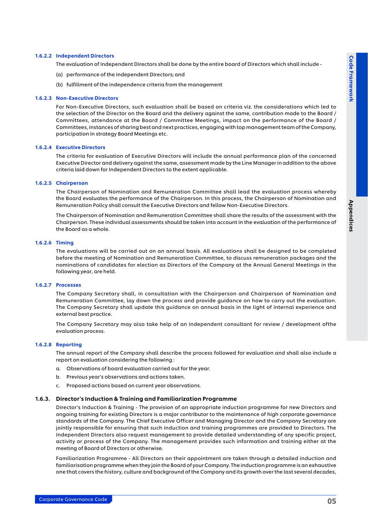#### 1.6.2.2 Independent Directors

The evaluation of Independent Directors shall be done by the entire board of Directors which shall include -

- (a) performance of the Independent Directors; and
- (b) fulfillment of the independence criteria from the management

#### 1.6.2.3 Non-Executive Directors

 For Non-Executive Directors, such evaluation shall be based on criteria viz. the considerations which led to the selection of the Director on the Board and the delivery against the same, contribution made to the Board / Committees, attendance at the Board / Committee Meetings, impact on the performance of the Board / Committees, instances of sharing best and next practices, engaging with top management team of the Company, participation in strategy Board Meetings etc.

#### 1.6.2.4 Executive Directors

 The criteria for evaluation of Executive Directors will include the annual performance plan of the concerned Executive Director and delivery against the same, assessment made by the Line Manager in addition to the above criteria laid down for Independent Directors to the extent applicable.

#### 1.6.2.5 Chairperson

 The Chairperson of Nomination and Remuneration Committee shall lead the evaluation process whereby the Board evaluates the performance of the Chairperson. In this process, the Chairperson of Nomination and Remuneration Policy shall consult the Executive Directors and fellow Non-Executive Directors.

 The Chairperson of Nomination and Remuneration Committee shall share the results of the assessment with the Chairperson. These individual assessments should be taken into account in the evaluation of the performance of the Board as a whole.

#### 1.6.2.6 Timing

 The evaluations will be carried out on an annual basis. All evaluations shall be designed to be completed before the meeting of Nomination and Remuneration Committee, to discuss remuneration packages and the nominations of candidates for election as Directors of the Company at the Annual General Meetings in the following year, are held.

#### 1.6.2.7 Processes

 The Company Secretary shall, in consultation with the Chairperson and Chairperson of Nomination and Remuneration Committee, lay down the process and provide guidance on how to carry out the evaluation. The Company Secretary shall update this guidance on annual basis in the light of internal experience and external best practice.

 The Company Secretary may also take help of an independent consultant for review / development ofthe evaluation process.

#### 1.6.2.8 Reporting

 The annual report of the Company shall describe the process followed for evaluation and shall also include a report on evaluation considering the following :

- a. Observations of board evaluation carried out for the year.
- b. Previous year's observations and actions taken.
- c. Proposed actions based on current year observations.

#### 1.6.3. Director's Induction & Training and Familiarization Programme

Director's Induction & Training - The provision of an appropriate induction programme for new Directors and ongoing training for existing Directors is a major contributor to the maintenance of high corporate governance standards of the Company. The Chief Executive Officer and Managing Director and the Company Secretary are jointly responsible for ensuring that such induction and training programmes are provided to Directors. The Independent Directors also request management to provide detailed understanding of any specific project, activity or process of the Company. The management provides such information and training either at the meeting of Board of Directors or otherwise.

Familiarization Programme - All Directors on their appointment are taken through a detailed induction and familiarisation programme when they join the Board of your Company. The induction programme is an exhaustive one that covers the history, culture and background of the Company and its growth over the last several decades,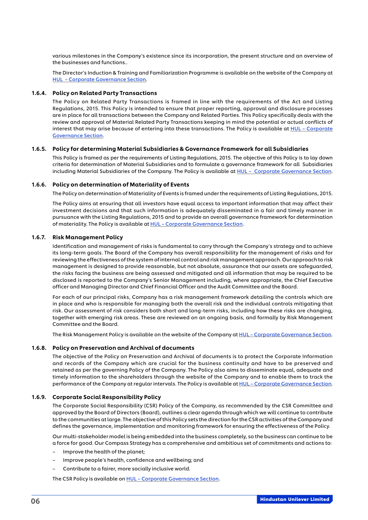various milestones in the Company's existence since its incorporation, the present structure and an overview of the businesses and functions..

The Director's Induction & Training and Familiarization Programme is available on the website of the Company at [HUL – Corporate Governance Section.](https://www.hul.co.in/investor-relations/corporate-governance/)

#### 1.6.4. Policy on Related Party Transactions

The Policy on Related Party Transactions is framed in line with the requirements of the Act and Listing Regulations, 2015. This Policy is intended to ensure that proper reporting, approval and disclosure processes are in place for all transactions between the Company and Related Parties. This Policy specifically deals with the review and approval of Material Related Party Transactions keeping in mind the potential or actual conflicts of interest that may arise because of entering into these transactions. The Policy is available at [HUL – Corporate](https://www.hul.co.in/investor-relations/corporate-governance/)  [Governance Section.](https://www.hul.co.in/investor-relations/corporate-governance/)

#### 1.6.5. Policy for determining Material Subsidiaries & Governance Framework for all Subsidiaries

This Policy is framed as per the requirements of Listing Regulations, 2015. The objective of this Policy is to lay down criteria for determination of Material Subsidiaries and to formulate a governance framework for all Subsidiaries including Material Subsidiaries of the Company. The Policy is available at HUL - Corporate Governance Section.

#### 1.6.6. Policy on determination of Materiality of Events

The Policy on determination of Materiality of Events is framed under the requirements of Listing Regulations, 2015.

The Policy aims at ensuring that all investors have equal access to important information that may affect their investment decisions and that such information is adequately disseminated in a fair and timely manner in pursuance with the Listing Regulations, 2015 and to provide an overall governance framework for determination of materiality. The Policy is available at [HUL – Corporate Governance Section](https://www.hul.co.in/investor-relations/corporate-governance/).

#### 1.6.7. Risk Management Policy

Identification and management of risks is fundamental to carry through the Company's strategy and to achieve its long-term goals. The Board of the Company has overall responsibility for the management of risks and for reviewing the effectiveness of the system of internal control and risk management approach. Our approach to risk management is designed to provide reasonable, but not absolute, assurance that our assets are safeguarded, the risks facing the business are being assessed and mitigated and all information that may be required to be disclosed is reported to the Company's Senior Management including, where appropriate, the Chief Executive officer and Managing Director and Chief Financial Officer and the Audit Committee and the Board.

For each of our principal risks, Company has a risk management framework detailing the controls which are in place and who is responsible for managing both the overall risk and the individual controls mitigating that risk. Our assessment of risk considers both short and long-term risks, including how these risks are changing, together with emerging risk areas. These are reviewed on an ongoing basis, and formally by Risk Management Committee and the Board.

The Risk Management Policy is available on the website of the Company at HUL - Corporate Governance Section.

#### 1.6.8. Policy on Preservation and Archival of documents

The objective of the Policy on Preservation and Archival of documents is to protect the Corporate Information and records of the Company which are crucial for the business continuity and have to be preserved and retained as per the governing Policy of the Company. The Policy also aims to disseminate equal, adequate and timely information to the shareholders through the website of the Company and to enable them to track the performance of the Company at regular intervals. The Policy is available at HUL - Corporate Governance Section.

#### 1.6.9. Corporate Social Responsibility Policy

The Corporate Social Responsibility (CSR) Policy of the Company, as recommended by the CSR Committee and approved by the Board of Directors (Board), outlines a clear agenda through which we will continue to contribute to the communities at large. The objective of this Policy sets the direction for the CSR activities of the Company and defines the governance, implementation and monitoring framework for ensuring the effectiveness of the Policy.

Our multi-stakeholder model is being embedded into the business completely, so the business can continue to be a force for good. Our Compass Strategy has a comprehensive and ambitious set of commitments and actions to:

- Improve the health of the planet;
- Improve people's health, confidence and wellbeing; and
- Contribute to a fairer, more socially inclusive world.

The CSR Policy is available on HUL - Corporate Governance Section.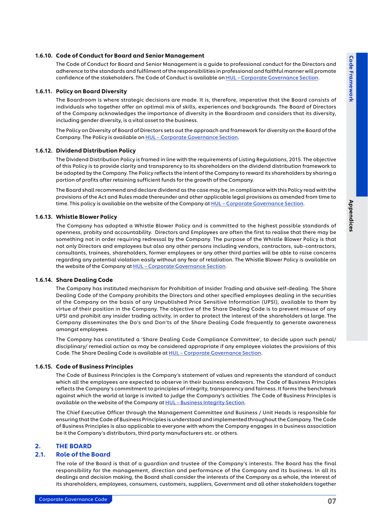#### <span id="page-7-0"></span>1.6.10. Code of Conduct for Board and Senior Management

The Code of Conduct for Board and Senior Management is a guide to professional conduct for the Directors and adherence to the standards and fulfilment of the responsibilities in professional and faithful manner will promote confidence of the stakeholders. The Code of Conduct is available on HUL - Corporate Governance Section.

#### 1.6.11. Policy on Board Diversity

The Boardroom is where strategic decisions are made. It is, therefore, imperative that the Board consists of individuals who together offer an optimal mix of skills, experiences and backgrounds. The Board of Directors of the Company acknowledges the importance of diversity in the Boardroom and considers that its diversity, including gender diversity, is a vital asset to the business.

The Policy on Diversity of Board of Directors sets out the approach and framework for diversity on the Board of the Company. The Policy is available on [HUL – Corporate Governance Section](https://www.hul.co.in/investor-relations/corporate-governance/).

#### 1.6.12. Dividend Distribution Policy

The Dividend Distribution Policy is framed in line with the requirements of Listing Regulations, 2015. The objective of this Policy is to provide clarity and transparency to its shareholders on the dividend distribution framework to be adopted by the Company. The Policy reflects the intent of the Company to reward its shareholders by sharing a portion of profits after retaining sufficient funds for the growth of the Company.

The Board shall recommend and declare dividend as the case may be, in compliance with this Policy read with the provisions of the Act and Rules made thereunder and other applicable legal provisions as amended from time to time. This policy is available on the website of the Company at HUL - Corporate Governance Section.

#### 1.6.13. Whistle Blower Policy

The Company has adopted a Whistle Blower Policy and is committed to the highest possible standards of openness, probity and accountability. Directors and Employees are often the first to realise that there may be something not in order requiring redressal by the Company. The purpose of the Whistle Blower Policy is that not only Directors and employees but also any other persons including vendors, contractors, sub-contractors, consultants, trainees, shareholders, former employees or any other third parties will be able to raise concerns regarding any potential violation easily without any fear of retaliation. The Whistle Blower Policy is available on the website of the Company at [HUL – Corporate Governance Section](https://www.hul.co.in/investor-relations/corporate-governance/).

#### 1.6.14. Share Dealing Code

The Company has instituted mechanism for Prohibition of Insider Trading and abusive self-dealing. The Share Dealing Code of the Company prohibits the Directors and other specified employees dealing in the securities of the Company on the basis of any Unpublished Price Sensitive Information (UPSI), available to them by virtue of their position in the Company. The objective of the Share Dealing Code is to prevent misuse of any UPSI and prohibit any insider trading activity, in order to protect the interest of the shareholders at large. The Company disseminates the Do's and Don'ts of the Share Dealing Code frequently to generate awareness amongst employees.

The Company has constituted a 'Share Dealing Code Compliance Committee', to decide upon such penal/ disciplinary/ remedial action as may be considered appropriate if any employee violates the provisions of this Code. The Share Dealing Code is available at [HUL – Corporate Governance Section.](https://www.hul.co.in/investor-relations/corporate-governance/)

#### 1.6.15. Code of Business Principles

The Code of Business Principles is the Company's statement of values and represents the standard of conduct which all the employees are expected to observe in their business endeavors. The Code of Business Principles reflects the Company's commitment to principles of integrity, transparency and fairness. It forms the benchmark against which the world at large is invited to judge the Company's activities. The Code of Business Principles is available on the website of the Company at [HUL – Business Integrity Section](https://www.hul.co.in/planet-and-society/).

The Chief Executive Officer through the Management Committee and Business / Unit Heads is responsible for ensuring that the Code of Business Principles is understood and implemented throughout the Company. The Code of Business Principles is also applicable to everyone with whom the Company engages in a business association be it the Company's distributors, third party manufacturers etc. or others.

#### 2. THE BOARD

#### 2.1. Role of the Board

The role of the Board is that of a guardian and trustee of the Company's interests. The Board has the final responsibility for the management, direction and performance of the Company and its business. In all its dealings and decision making, the Board shall consider the interests of the Company as a whole, the interest of its shareholders, employees, consumers, customers, suppliers, Government and all other stakeholders together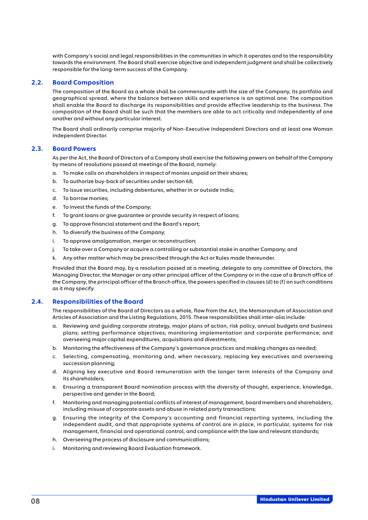<span id="page-8-0"></span>with Company's social and legal responsibilities in the communities in which it operates and to the responsibility towards the environment. The Board shall exercise objective and independent judgment and shall be collectively responsible for the long-term success of the Company.

### 2.2. Board Composition

The composition of the Board as a whole shall be commensurate with the size of the Company, its portfolio and geographical spread, where the balance between skills and experience is an optimal one. The composition shall enable the Board to discharge its responsibilities and provide effective leadership to the business. The composition of the Board shall be such that the members are able to act critically and independently of one another and without any particular interest.

The Board shall ordinarily comprise majority of Non-Executive Independent Directors and at least one Woman Independent Director.

# 2.3. Board Powers

As per the Act, the Board of Directors of a Company shall exercise the following powers on behalf of the Company by means of resolutions passed at meetings of the Board, namely:

- a. To make calls on shareholders in respect of monies unpaid on their shares;
- b. To authorize buy-back of securities under section 68;
- c. To issue securities, including debentures, whether in or outside India;
- d. To borrow monies;
- e. To invest the funds of the Company;
- f. To grant loans or give guarantee or provide security in respect of loans;
- g. To approve financial statement and the Board's report;
- h. To diversify the business of the Company;
- i. To approve amalgamation, merger or reconstruction;
- j. To take over a Company or acquire a controlling or substantial stake in another Company; and
- k. Any other matter which may be prescribed through the Act or Rules made thereunder.

Provided that the Board may, by a resolution passed at a meeting, delegate to any committee of Directors, the Managing Director, the Manager or any other principal officer of the Company or in the case of a Branch office of the Company, the principal officer of the Branch office, the powers specified in clauses (d) to (f) on such conditions as it may specify.

#### 2.4. Responsibilities of the Board

The responsibilities of the Board of Directors as a whole, flow from the Act, the Memorandum of Association and Articles of Association and the Listing Regulations, 2015. These responsibilities shall inter-alia include:

- a. Reviewing and guiding corporate strategy, major plans of action, risk policy, annual budgets and business plans; setting performance objectives; monitoring implementation and corporate performance; and overseeing major capital expenditures, acquisitions and divestments;
- b. Monitoring the effectiveness of the Company's governance practices and making changes as needed;
- c. Selecting, compensating, monitoring and, when necessary, replacing key executives and overseeing succession planning;
- d. Aligning key executive and Board remuneration with the longer term interests of the Company and its shareholders;
- e. Ensuring a transparent Board nomination process with the diversity of thought, experience, knowledge, perspective and gender in the Board;
- f. Monitoring and managing potential conflicts of interest of management, board members and shareholders, including misuse of corporate assets and abuse in related party transactions;
- g. Ensuring the integrity of the Company's accounting and financial reporting systems, including the independent audit, and that appropriate systems of control are in place, in particular, systems for risk management, financial and operational control, and compliance with the law and relevant standards;
- h. Overseeing the process of disclosure and communications;
- i. Monitoring and reviewing Board Evaluation framework.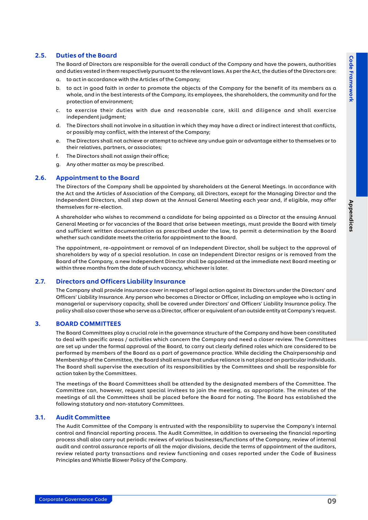Appendices

Appendices

# <span id="page-9-0"></span>2.5. Duties of the Board

The Board of Directors are responsible for the overall conduct of the Company and have the powers, authorities and duties vested in them respectively pursuant to the relevant laws. As per the Act, the duties of the Directors are:

- a. to act in accordance with the Articles of the Company;
- b. to act in good faith in order to promote the objects of the Company for the benefit of its members as a whole, and in the best interests of the Company, its employees, the shareholders, the community and for the protection of environment;
- c. to exercise their duties with due and reasonable care, skill and diligence and shall exercise independent judgment;
- d. The Directors shall not involve in a situation in which they may have a direct or indirect interest that conflicts, or possibly may conflict, with the interest of the Company;
- e. The Directors shall not achieve or attempt to achieve any undue gain or advantage either to themselves or to their relatives, partners, or associates;
- f. The Directors shall not assign their office;
- g. Any other matter as may be prescribed.

#### 2.6. Appointment to the Board

The Directors of the Company shall be appointed by shareholders at the General Meetings. In accordance with the Act and the Articles of Association of the Company, all Directors, except for the Managing Director and the Independent Directors, shall step down at the Annual General Meeting each year and, if eligible, may offer themselves for re-election.

A shareholder who wishes to recommend a candidate for being appointed as a Director at the ensuing Annual General Meeting or for vacancies of the Board that arise between meetings, must provide the Board with timely and sufficient written documentation as prescribed under the law, to permit a determination by the Board whether such candidate meets the criteria for appointment to the Board.

The appointment, re-appointment or removal of an Independent Director, shall be subject to the approval of shareholders by way of a special resolution. In case an Independent Director resigns or is removed from the Board of the Company, a new Independent Director shall be appointed at the immediate next Board meeting or within three months from the date of such vacancy, whichever is later.

#### 2.7. Directors and Officers Liability Insurance

The Company shall provide insurance cover in respect of legal action against its Directors under the Directors' and Officers' Liability Insurance. Any person who becomes a Director or Officer, including an employee who is acting in managerial or supervisory capacity, shall be covered under Directors' and Officers' Liability Insurance policy. The policy shall also cover those who serve as a Director, officer or equivalent of an outside entity at Company's request.

#### 3. BOARD COMMITTEES

The Board Committees play a crucial role in the governance structure of the Company and have been constituted to deal with specific areas / activities which concern the Company and need a closer review. The Committees are set up under the formal approval of the Board, to carry out clearly defined roles which are considered to be performed by members of the Board as a part of governance practice. While deciding the Chairpersonship and Membership of the Committee, the Board shall ensure that undue reliance is not placed on particular individuals. The Board shall supervise the execution of its responsibilities by the Committees and shall be responsible for action taken by the Committees.

The meetings of the Board Committees shall be attended by the designated members of the Committee. The Committee can, however, request special invitees to join the meeting, as appropriate. The minutes of the meetings of all the Committees shall be placed before the Board for noting. The Board has established the following statutory and non-statutory Committees.

#### 3.1. Audit Committee

The Audit Committee of the Company is entrusted with the responsibility to supervise the Company's internal control and financial reporting process. The Audit Committee, in addition to overseeing the financial reporting process shall also carry out periodic reviews of various businesses/functions of the Company, review of internal audit and control assurance reports of all the major divisions, decide the terms of appointment of the auditors, review related party transactions and review functioning and cases reported under the Code of Business Principles and Whistle Blower Policy of the Company.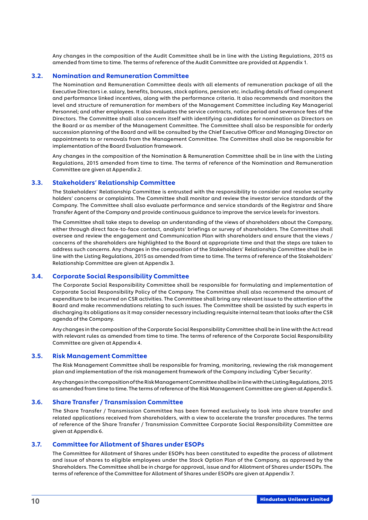<span id="page-10-0"></span>Any changes in the composition of the Audit Committee shall be in line with the Listing Regulations, 2015 as amended from time to time. The terms of reference of the Audit Committee are provided at Appendix 1.

#### 3.2. Nomination and Remuneration Committee

The Nomination and Remuneration Committee deals with all elements of remuneration package of all the Executive Directors i.e. salary, benefits, bonuses, stock options, pension etc. including details of fixed component and performance linked incentives, along with the performance criteria. It also recommends and monitors the level and structure of remuneration for members of the Management Committee including Key Managerial Personnel; and other employees. It also evaluates the service contracts, notice period and severance fees of the Directors. The Committee shall also concern itself with identifying candidates for nomination as Directors on the Board or as member of the Management Committee. The Committee shall also be responsible for orderly succession planning of the Board and will be consulted by the Chief Executive Officer and Managing Director on appointments to or removals from the Management Committee. The Committee shall also be responsible for implementation of the Board Evaluation framework.

Any changes in the composition of the Nomination & Remuneration Committee shall be in line with the Listing Regulations, 2015 amended from time to time. The terms of reference of the Nomination and Remuneration Committee are given at Appendix 2.

#### 3.3. Stakeholders' Relationship Committee

The Stakeholders' Relationship Committee is entrusted with the responsibility to consider and resolve security holders' concerns or complaints. The Committee shall monitor and review the investor service standards of the Company. The Committee shall also evaluate performance and service standards of the Registrar and Share Transfer Agent of the Company and provide continuous guidance to improve the service levels for investors.

The Committee shall take steps to develop an understanding of the views of shareholders about the Company, either through direct face-to-face contact, analysts' briefings or survey of shareholders. The Committee shall oversee and review the engagement and Communication Plan with shareholders and ensure that the views / concerns of the shareholders are highlighted to the Board at appropriate time and that the steps are taken to address such concerns. Any changes in the composition of the Stakeholders' Relationship Committee shall be in line with the Listing Regulations, 2015 as amended from time to time. The terms of reference of the Stakeholders' Relationship Committee are given at Appendix 3.

#### 3.4. Corporate Social Responsibility Committee

The Corporate Social Responsibility Committee shall be responsible for formulating and implementation of Corporate Social Responsibility Policy of the Company. The Committee shall also recommend the amount of expenditure to be incurred on CSR activities. The Committee shall bring any relevant issue to the attention of the Board and make recommendations relating to such issues. The Committee shall be assisted by such experts in discharging its obligations as it may consider necessary including requisite internal team that looks after the CSR agenda of the Company.

Any changes in the composition of the Corporate Social Responsibility Committee shall be in line with the Act read with relevant rules as amended from time to time. The terms of reference of the Corporate Social Responsibility Committee are given at Appendix 4.

## 3.5. Risk Management Committee

The Risk Management Committee shall be responsible for framing, monitoring, reviewing the risk management plan and implementation of the risk management framework of the Company including 'Cyber Security'.

Any changes in the composition of the Risk Management Committee shall be in line with the Listing Regulations, 2015 as amended from time to time. The terms of reference of the Risk Management Committee are given at Appendix 5.

#### 3.6. Share Transfer / Transmission Committee

The Share Transfer / Transmission Committee has been formed exclusively to look into share transfer and related applications received from shareholders, with a view to accelerate the transfer procedures. The terms of reference of the Share Transfer / Transmission Committee Corporate Social Responsibility Committee are given at Appendix 6.

### 3.7. Committee for Allotment of Shares under ESOPs

The Committee for Allotment of Shares under ESOPs has been constituted to expedite the process of allotment and issue of shares to eligible employees under the Stock Option Plan of the Company, as approved by the Shareholders. The Committee shall be in charge for approval, issue and for Allotment of Shares under ESOPs. The terms of reference of the Committee for Allotment of Shares under ESOPs are given at Appendix 7.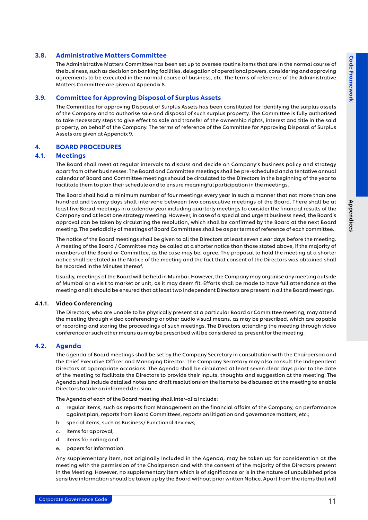Appendices

Appendices

### <span id="page-11-0"></span>3.8. Administrative Matters Committee

The Administrative Matters Committee has been set up to oversee routine items that are in the normal course of the business, such as decision on banking facilities, delegation of operational powers, considering and approving agreements to be executed in the normal course of business, etc. The terms of reference of the Administrative Matters Committee are given at Appendix 8.

# 3.9. Committee for Approving Disposal of Surplus Assets

The Committee for approving Disposal of Surplus Assets has been constituted for identifying the surplus assets of the Company and to authorise sale and disposal of such surplus property. The Committee is fully authorised to take necessary steps to give effect to sale and transfer of the ownership rights, interest and title in the said property, on behalf of the Company. The terms of reference of the Committee for Approving Disposal of Surplus Assets are given at Appendix 9.

### 4. BOARD PROCEDURES

# 4.1. Meetings

The Board shall meet at regular intervals to discuss and decide on Company's business policy and strategy apart from other businesses. The Board and Committee meetings shall be pre-scheduled and a tentative annual calendar of Board and Committee meetings should be circulated to the Directors in the beginning of the year to facilitate them to plan their schedule and to ensure meaningful participation in the meetings.

The Board shall hold a minimum number of four meetings every year in such a manner that not more than one hundred and twenty days shall intervene between two consecutive meetings of the Board. There shall be at least five Board meetings in a calendar year including quarterly meetings to consider the financial results of the Company and at least one strategy meeting. However, in case of a special and urgent business need, the Board's approval can be taken by circulating the resolution, which shall be confirmed by the Board at the next Board meeting. The periodicity of meetings of Board Committees shall be as per terms of reference of each committee.

The notice of the Board meetings shall be given to all the Directors at least seven clear days before the meeting. A meeting of the Board / Committee may be called at a shorter notice than those stated above, if the majority of members of the Board or Committee, as the case may be, agree. The proposal to hold the meeting at a shorter notice shall be stated in the Notice of the meeting and the fact that consent of the Directors was obtained shall be recorded in the Minutes thereof.

Usually, meetings of the Board will be held in Mumbai. However, the Company may organise any meeting outside of Mumbai or a visit to market or unit, as it may deem fit. Efforts shall be made to have full attendance at the meeting and it should be ensured that at least two Independent Directors are present in all the Board meetings.

#### 4.1.1. Video Conferencing

The Directors, who are unable to be physically present at a particular Board or Committee meeting, may attend the meeting through video conferencing or other audio visual means, as may be prescribed, which are capable of recording and storing the proceedings of such meetings. The Directors attending the meeting through video conference or such other means as may be prescribed will be considered as present for the meeting.

#### 4.2. Agenda

The agenda of Board meetings shall be set by the Company Secretary in consultation with the Chairperson and the Chief Executive Officer and Managing Director. The Company Secretary may also consult the Independent Directors at appropriate occasions. The Agenda shall be circulated at least seven clear days prior to the date of the meeting to facilitate the Directors to provide their inputs, thoughts and suggestion at the meeting. The Agenda shall include detailed notes and draft resolutions on the items to be discussed at the meeting to enable Directors to take an informed decision.

The Agenda of each of the Board meeting shall inter-alia include:

- a. regular items, such as reports from Management on the financial affairs of the Company, on performance against plan, reports from Board Committees, reports on litigation and governance matters, etc.;
- b. special items, such as Business/ Functional Reviews;
- c. items for approval;
- d. items for noting; and
- e. papers for information.

Any supplementary item, not originally included in the Agenda, may be taken up for consideration at the meeting with the permission of the Chairperson and with the consent of the majority of the Directors present in the Meeting. However, no supplementary item which is of significance or is in the nature of unpublished price sensitive information should be taken up by the Board without prior written Notice. Apart from the items that will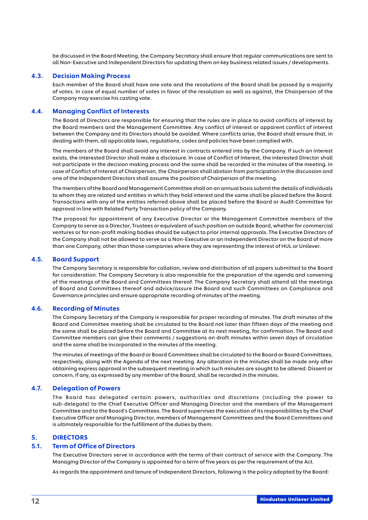<span id="page-12-0"></span>be discussed in the Board Meeting, the Company Secretary shall ensure that regular communications are sent to all Non-Executive and Independent Directors for updating them on key business related issues / developments.

#### 4.3. Decision Making Process

Each member of the Board shall have one vote and the resolutions of the Board shall be passed by a majority of votes. In case of equal number of votes in favor of the resolution as well as against, the Chairperson of the Company may exercise his casting vote.

#### 4.4. Managing Conflict of Interests

The Board of Directors are responsible for ensuring that the rules are in place to avoid conflicts of interest by the Board members and the Management Committee. Any conflict of interest or apparent conflict of interest between the Company and its Directors should be avoided. Where conflicts arise, the Board shall ensure that, in dealing with them, all applicable laws, regulations, codes and policies have been complied with.

The members of the Board shall avoid any interest in contracts entered into by the Company. If such an interest exists, the interested Director shall make a disclosure. In case of Conflict of Interest, the interested Director shall not participate in the decision making process and the same shall be recorded in the minutes of the meeting. In case of Conflict of Interest of Chairperson, the Chairperson shall abstain from participation in the discussion and one of the Independent Directors shall assume the position of Chairperson of the meeting.

The members of the Board and Management Committee shall on an annual basis submit the details of individuals to whom they are related and entities in which they hold interest and the same shall be placed before the Board. Transactions with any of the entities referred above shall be placed before the Board or Audit Committee for approval in line with Related Party Transaction policy of the Company.

The proposal for appointment of any Executive Director or the Management Committee members of the Company to serve as a Director, Trustees or equivalent of such position on outside Board, whether for commercial ventures or for non-profit making bodies should be subject to prior internal approvals. The Executive Directors of the Company shall not be allowed to serve as a Non-Executive or an Independent Director on the Board of more than one Company, other than those companies where they are representing the interest of HUL or Unilever.

#### 4.5. Board Support

The Company Secretary is responsible for collation, review and distribution of all papers submitted to the Board for consideration. The Company Secretary is also responsible for the preparation of the agenda and convening of the meetings of the Board and Committees thereof. The Company Secretary shall attend all the meetings of Board and Committees thereof and advice/assure the Board and such Committees on Compliance and Governance principles and ensure appropriate recording of minutes of the meeting.

#### 4.6. Recording of Minutes

The Company Secretary of the Company is responsible for proper recording of minutes. The draft minutes of the Board and Committee meeting shall be circulated to the Board not later than fifteen days of the meeting and the same shall be placed before the Board and Committee at its next meeting, for confirmation. The Board and Committee members can give their comments / suggestions on draft minutes within seven days of circulation and the same shall be incorporated in the minutes of the meeting.

The minutes of meetings of the Board or Board Committees shall be circulated to the Board or Board Committees, respectively, along with the Agenda of the next meeting. Any alteration in the minutes shall be made only after obtaining express approval in the subsequent meeting in which such minutes are sought to be altered. Dissent or concern, if any, as expressed by any member of the Board, shall be recorded in the minutes.

# 4.7. Delegation of Powers

The Board has delegated certain powers, authorities and discretions (including the power to sub-delegate) to the Chief Executive Officer and Managing Director and the members of the Management Committee and to the Board's Committees. The Board supervises the execution of its responsibilities by the Chief Executive Officer and Managing Director, members of Management Committees and the Board Committees and is ultimately responsible for the fulfillment of the duties by them.

# 5. DIRECTORS

# 5.1. Term of Office of Directors

The Executive Directors serve in accordance with the terms of their contract of service with the Company. The Managing Director of the Company is appointed for a term of five years as per the requirement of the Act.

As regards the appointment and tenure of Independent Directors, following is the policy adopted by the Board: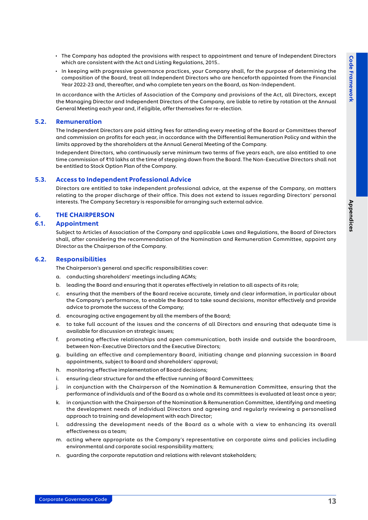- <span id="page-13-0"></span>• The Company has adopted the provisions with respect to appointment and tenure of Independent Directors which are consistent with the Act and Listing Regulations, 2015..
- In keeping with progressive governance practices, your Company shall, for the purpose of determining the composition of the Board, treat all Independent Directors who are henceforth appointed from the Financial Year 2022-23 and, thereafter, and who complete ten years on the Board, as Non-Independent.

 In accordance with the Articles of Association of the Company and provisions of the Act, all Directors, except the Managing Director and Independent Directors of the Company, are liable to retire by rotation at the Annual General Meeting each year and, if eligible, offer themselves for re-election.

#### 5.2. Remuneration

 The Independent Directors are paid sitting fees for attending every meeting of the Board or Committees thereof and commission on profits for each year, in accordance with the Differential Remuneration Policy and within the limits approved by the shareholders at the Annual General Meeting of the Company.

Independent Directors, who continuously serve minimum two terms of five years each, are also entitled to one time commission of ₹10 lakhs at the time of stepping down from the Board. The Non-Executive Directors shall not be entitled to Stock Option Plan of the Company.

### 5.3. Access to Independent Professional Advice

Directors are entitled to take independent professional advice, at the expense of the Company, on matters relating to the proper discharge of their office. This does not extend to issues regarding Directors' personal interests. The Company Secretary is responsible for arranging such external advice.

# 6. THE CHAIRPERSON

# 6.1. Appointment

Subject to Articles of Association of the Company and applicable Laws and Regulations, the Board of Directors shall, after considering the recommendation of the Nomination and Remuneration Committee, appoint any Director as the Chairperson of the Company.

#### 6.2. Responsibilities

The Chairperson's general and specific responsibilities cover:

- a. conducting shareholders' meetings including AGMs;
- b. leading the Board and ensuring that it operates effectively in relation to all aspects of its role;
- c. ensuring that the members of the Board receive accurate, timely and clear information, in particular about the Company's performance, to enable the Board to take sound decisions, monitor effectively and provide advice to promote the success of the Company;
- d. encouraging active engagement by all the members of the Board;
- e. to take full account of the issues and the concerns of all Directors and ensuring that adequate time is available for discussion on strategic issues;
- f. promoting effective relationships and open communication, both inside and outside the boardroom, between Non-Executive Directors and the Executive Directors;
- g. building an effective and complementary Board, initiating change and planning succession in Board appointments, subject to Board and shareholders' approval;
- h. monitoring effective implementation of Board decisions;
- i. ensuring clear structure for and the effective running of Board Committees;
- j. in conjunction with the Chairperson of the Nomination & Remuneration Committee, ensuring that the performance of individuals and of the Board as a whole and its committees is evaluated at least once a year;
- k. in conjunction with the Chairperson of the Nomination & Remuneration Committee, identifying and meeting the development needs of individual Directors and agreeing and regularly reviewing a personalised approach to training and development with each Director;
- l. addressing the development needs of the Board as a whole with a view to enhancing its overall effectiveness as a team;
- m. acting where appropriate as the Company's representative on corporate aims and policies including environmental and corporate social responsibility matters;
- n. guarding the corporate reputation and relations with relevant stakeholders;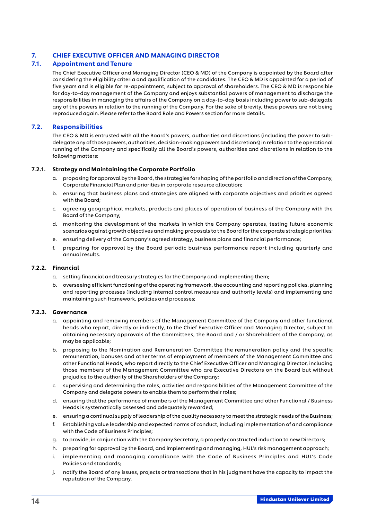# <span id="page-14-0"></span>7. CHIEF EXECUTIVE OFFICER AND MANAGING DIRECTOR

# 7.1. Appointment and Tenure

The Chief Executive Officer and Managing Director (CEO & MD) of the Company is appointed by the Board after considering the eligibility criteria and qualification of the candidates. The CEO & MD is appointed for a period of five years and is eligible for re-appointment, subject to approval of shareholders. The CEO & MD is responsible for day-to-day management of the Company and enjoys substantial powers of management to discharge the responsibilities in managing the affairs of the Company on a day-to-day basis including power to sub-delegate any of the powers in relation to the running of the Company. For the sake of brevity, these powers are not being reproduced again. Please refer to the Board Role and Powers section for more details.

#### 7.2. Responsibilities

The CEO & MD is entrusted with all the Board's powers, authorities and discretions (including the power to subdelegate any of those powers, authorities, decision-making powers and discretions) in relation to the operational running of the Company and specifically all the Board's powers, authorities and discretions in relation to the following matters:

#### 7.2.1. Strategy and Maintaining the Corporate Portfolio

- a. proposing for approval by the Board, the strategies for shaping of the portfolio and direction of the Company, Corporate Financial Plan and priorities in corporate resource allocation;
- b. ensuring that business plans and strategies are aligned with corporate objectives and priorities agreed with the Board;
- c. agreeing geographical markets, products and places of operation of business of the Company with the Board of the Company;
- d. monitoring the development of the markets in which the Company operates, testing future economic scenarios against growth objectives and making proposals to the Board for the corporate strategic priorities;
- e. ensuring delivery of the Company's agreed strategy, business plans and financial performance;
- f. preparing for approval by the Board periodic business performance report including quarterly and annual results.

#### 7.2.2. Financial

- a. setting financial and treasury strategies for the Company and implementing them;
- b. overseeing efficient functioning of the operating framework, the accounting and reporting policies, planning and reporting processes (including internal control measures and authority levels) and implementing and maintaining such framework, policies and processes;

#### 7.2.3. Governance

- a. appointing and removing members of the Management Committee of the Company and other functional heads who report, directly or indirectly, to the Chief Executive Officer and Managing Director, subject to obtaining necessary approvals of the Committees, the Board and / or Shareholders of the Company, as may be applicable;
- b. proposing to the Nomination and Remuneration Committee the remuneration policy and the specific remuneration, bonuses and other terms of employment of members of the Management Committee and other Functional Heads, who report directly to the Chief Executive Officer and Managing Director, including those members of the Management Committee who are Executive Directors on the Board but without prejudice to the authority of the Shareholders of the Company;
- c. supervising and determining the roles, activities and responsibilities of the Management Committee of the Company and delegate powers to enable them to perform their roles;
- d. ensuring that the performance of members of the Management Committee and other Functional / Business Heads is systematically assessed and adequately rewarded;
- e. ensuring a continual supply of leadership of the quality necessary to meet the strategic needs of the Business;
- f. Establishing value leadership and expected norms of conduct, including implementation of and compliance with the Code of Business Principles;
- g. to provide, in conjunction with the Company Secretary, a properly constructed induction to new Directors;
- h. preparing for approval by the Board, and implementing and managing, HUL's risk management approach;
- i. implementing and managing compliance with the Code of Business Principles and HUL's Code Policies and standards;
- j. notify the Board of any issues, projects or transactions that in his judgment have the capacity to impact the reputation of the Company.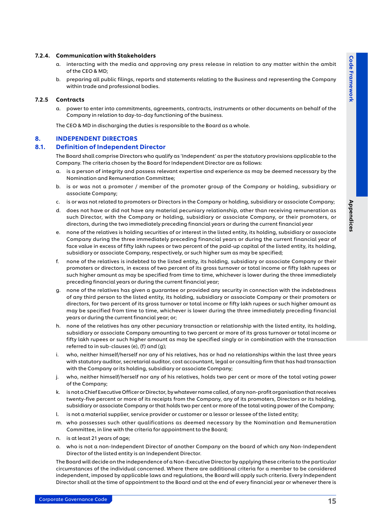Appendices

Appendices

#### <span id="page-15-0"></span>7.2.4. Communication with Stakeholders

- a. interacting with the media and approving any press release in relation to any matter within the ambit of the CEO & MD;
- b. preparing all public filings, reports and statements relating to the Business and representing the Company within trade and professional bodies.

### 7.2.5 Contracts

a. power to enter into commitments, agreements, contracts, instruments or other documents on behalf of the Company in relation to day-to-day functioning of the business.

The CEO & MD in discharging the duties is responsible to the Board as a whole.

#### 8. INDEPENDENT DIRECTORS

#### 8.1. Definition of Independent Director

The Board shall comprise Directors who qualify as 'Independent' as per the statutory provisions applicable to the Company. The criteria chosen by the Board for Independent Director are as follows:

- a. is a person of integrity and possess relevant expertise and experience as may be deemed necessary by the Nomination and Remuneration Committee;
- b. is or was not a promoter / member of the promoter group of the Company or holding, subsidiary or associate Company;
- c. is or was not related to promoters or Directors in the Company or holding, subsidiary or associate Company;
- d. does not have or did not have any material pecuniary relationship, other than receiving [remuneration](https://www.mca.gov.in/content/mca/global/en/acts-rules/ebooks/acts.html?act=NTk2MQ==) as such  [Director](https://www.mca.gov.in/content/mca/global/en/acts-rules/ebooks/acts.html?act=NTk2MQ==), with the Company or holding, subsidiary or associate Company, or their promoters, or directors, during the two immediately preceding financial years or during the current financial year
- e. none of the relatives is holding securities of or interest in the listed entity, its holding, subsidiary or associate Company during the three immediately preceding financial years or during the current financial year of face value in excess of fifty lakh rupees or two percent of the paid-up capital of the listed entity, its holding, subsidiary or associate Company, respectively, or such higher sum as may be specified;
- f. none of the relatives is indebted to the listed entity, its holding, subsidiary or associate Company or their promoters or directors, in excess of two percent of its gross turnover or total income or fifty lakh rupees or such higher amount as may be specified from time to time, whichever is lower during the three immediately preceding financial years or during the current financial year;
- g. none of the relatives has given a guarantee or provided any security in connection with the indebtedness of any third person to the listed entity, its holding, subsidiary or associate Company or their promoters or directors, for two percent of its gross turnover or total income or fifty lakh rupees or such higher amount as may be specified from time to time, whichever is lower during the three immediately preceding financial years or during the current financial year; or;
- h. none of the relatives has any other pecuniary transaction or relationship with the listed entity, its holding, subsidiary or associate Company amounting to two percent or more of its gross turnover or total income or fifty lakh rupees or such higher amount as may be specified singly or in combination with the transaction referred to in sub-clauses (e), (f) and (g);
- i. who, neither himself/herself nor any of his relatives, has or had no relationships within the last three years with statutory auditor, secretarial auditor, cost accountant, legal or consulting firm that has had transaction with the Company or its holding, subsidiary or associate Company;
- j. who, neither himself/herself nor any of his relatives, holds two per cent or more of the total voting power of the Company;
- k. is not a Chief Executive Officer or Director, by whatever name called, of any non-profit organisation that receives twenty-five percent or more of its receipts from the Company, any of its [promoters](https://www.mca.gov.in/content/mca/global/en/acts-rules/ebooks/acts.html?act=NTk2MQ==), Directors or its holding, subsidiary or associate [Company](https://www.mca.gov.in/content/mca/global/en/acts-rules/ebooks/acts.html?act=NTk2MQ==) or that holds two per cent or more of the [total voting power](https://www.mca.gov.in/content/mca/global/en/acts-rules/ebooks/acts.html?act=NTk2MQ==) of the Company;
- l. is not a material supplier, service provider or customer or a lessor or lessee of the listed entity;
- m. who possesses such other qualifications as deemed necessary by the Nomination and Remuneration Committee, in line with the criteria for appointment to the Board;
- n. is at least 21 years of age;
- o. who is not a non-Independent Director of another Company on the board of which any Non-Independent Director of the listed entity is an Independent Director.

The Board will decide on the independence of a Non-Executive Director by applying these criteria to the particular circumstances of the individual concerned. Where there are additional criteria for a member to be considered independent, imposed by applicable laws and regulations, the Board will apply such criteria. Every Independent Director shall at the time of appointment to the Board and at the end of every financial year or whenever there is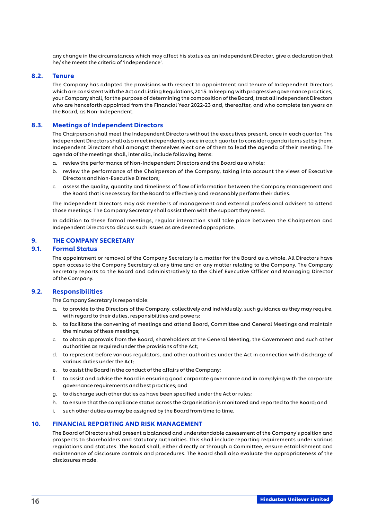<span id="page-16-0"></span>any change in the circumstances which may affect his status as an Independent Director, give a declaration that he/ she meets the criteria of 'independence'.

### 8.2. Tenure

The Company has adopted the provisions with respect to appointment and tenure of Independent Directors which are consistent with the Act and Listing Regulations,2015. In keeping with progressive governance practices, your Company shall, for the purpose of determining the composition of the Board, treat all Independent Directors who are henceforth appointed from the Financial Year 2022-23 and, thereafter, and who complete ten years on the Board, as Non-Independent.

#### 8.3. Meetings of Independent Directors

The Chairperson shall meet the Independent Directors without the executives present, once in each quarter. The Independent Directors shall also meet independently once in each quarter to consider agenda items set by them. Independent Directors shall amongst themselves elect one of them to lead the agenda of their meeting. The agenda of the meetings shall, inter alia, include following items:

- a. review the performance of Non-Independent Directors and the Board as a whole;
- b. review the performance of the Chairperson of the Company, taking into account the views of Executive Directors and Non-Executive Directors;
- c. assess the quality, quantity and timeliness of flow of information between the Company management and the Board that is necessary for the Board to effectively and reasonably perform their duties.

The Independent Directors may ask members of management and external professional advisers to attend those meetings. The Company Secretary shall assist them with the support they need.

In addition to these formal meetings, regular interaction shall take place between the Chairperson and Independent Directors to discuss such issues as are deemed appropriate.

# 9. THE COMPANY SECRETARY

# 9.1. Formal Status

The appointment or removal of the Company Secretary is a matter for the Board as a whole. All Directors have open access to the Company Secretary at any time and on any matter relating to the Company. The Company Secretary reports to the Board and administratively to the Chief Executive Officer and Managing Director of the Company.

#### 9.2. Responsibilities

The Company Secretary is responsible:

- a. to provide to the Directors of the Company, collectively and individually, such guidance as they may require, with regard to their duties, responsibilities and powers;
- b. to facilitate the convening of meetings and attend Board, Committee and General Meetings and maintain the minutes of these meetings;
- c. to obtain approvals from the Board, shareholders at the General Meeting, the Government and such other authorities as required under the provisions of the Act;
- d. to represent before various regulators, and other authorities under the Act in connection with discharge of various duties under the Act;
- e. to assist the Board in the conduct of the affairs of the Company;
- f. to assist and advise the Board in ensuring good corporate governance and in complying with the corporate governance requirements and best practices; and
- g. to discharge such other duties as have been specified under the Act or rules;
- h. to ensure that the compliance status across the Organisation is monitored and reported to the Board; and
- i. such other duties as may be assigned by the Board from time to time.

#### 10. FINANCIAL REPORTING AND RISK MANAGEMENT

The Board of Directors shall present a balanced and understandable assessment of the Company's position and prospects to shareholders and statutory authorities. This shall include reporting requirements under various regulations and statutes. The Board shall, either directly or through a Committee, ensure establishment and maintenance of disclosure controls and procedures. The Board shall also evaluate the appropriateness of the disclosures made.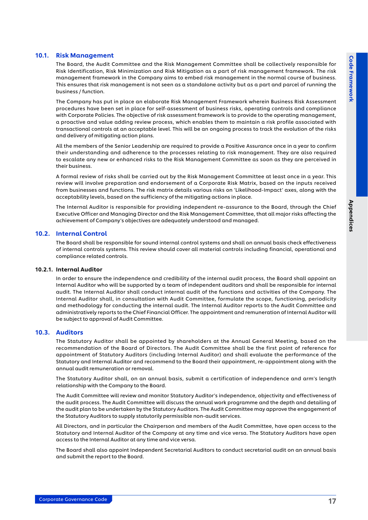# <span id="page-17-0"></span>10.1. Risk Management

The Board, the Audit Committee and the Risk Management Committee shall be collectively responsible for Risk Identification, Risk Minimization and Risk Mitigation as a part of risk management framework. The risk management framework in the Company aims to embed risk management in the normal course of business. This ensures that risk management is not seen as a standalone activity but as a part and parcel of running the business / function.

The Company has put in place an elaborate Risk Management Framework wherein Business Risk Assessment procedures have been set in place for self-assessment of business risks, operating controls and compliance with Corporate Policies. The objective of risk assessment framework is to provide to the operating management, a proactive and value adding review process, which enables them to maintain a risk profile associated with transactional controls at an acceptable level. This will be an ongoing process to track the evolution of the risks and delivery of mitigating action plans.

All the members of the Senior Leadership are required to provide a Positive Assurance once in a year to confirm their understanding and adherence to the processes relating to risk management. They are also required to escalate any new or enhanced risks to the Risk Management Committee as soon as they are perceived in their business.

A formal review of risks shall be carried out by the Risk Management Committee at least once in a year. This review will involve preparation and endorsement of a Corporate Risk Matrix, based on the inputs received from businesses and functions. The risk matrix details various risks on 'Likelihood-Impact' axes, along with the acceptability levels, based on the sufficiency of the mitigating actions in place.

The Internal Auditor is responsible for providing independent re-assurance to the Board, through the Chief Executive Officer and Managing Director and the Risk Management Committee, that all major risks affecting the achievement of Company's objectives are adequately understood and managed.

#### 10.2. Internal Control

The Board shall be responsible for sound internal control systems and shall on annual basis check effectiveness of internal controls systems. This review should cover all material controls including financial, operational and compliance related controls.

#### 10.2.1. Internal Auditor

In order to ensure the independence and credibility of the internal audit process, the Board shall appoint an Internal Auditor who will be supported by a team of independent auditors and shall be responsible for internal audit. The Internal Auditor shall conduct internal audit of the functions and activities of the Company. The Internal Auditor shall, in consultation with Audit Committee, formulate the scope, functioning, periodicity and methodology for conducting the internal audit. The Internal Auditor reports to the Audit Committee and administratively reports to the Chief Financial Officer. The appointment and remuneration of Internal Auditor will be subject to approval of Audit Committee.

#### 10.3. Auditors

The Statutory Auditor shall be appointed by shareholders at the Annual General Meeting, based on the recommendation of the Board of Directors. The Audit Committee shall be the first point of reference for appointment of Statutory Auditors (including Internal Auditor) and shall evaluate the performance of the Statutory and Internal Auditor and recommend to the Board their appointment, re-appointment along with the annual audit remuneration or removal.

The Statutory Auditor shall, on an annual basis, submit a certification of independence and arm's length relationship with the Company to the Board.

The Audit Committee will review and monitor Statutory Auditor's independence, objectivity and effectiveness of the audit process. The Audit Committee will discuss the annual work programme and the depth and detailing of the audit plan to be undertaken by the Statutory Auditors. The Audit Committee may approve the engagement of the Statutory Auditors to supply statutorily permissible non-audit services.

All Directors, and in particular the Chairperson and members of the Audit Committee, have open access to the Statutory and Internal Auditor of the Company at any time and vice versa. The Statutory Auditors have open access to the Internal Auditor at any time and vice versa.

The Board shall also appoint Independent Secretarial Auditors to conduct secretarial audit on an annual basis and submit the report to the Board.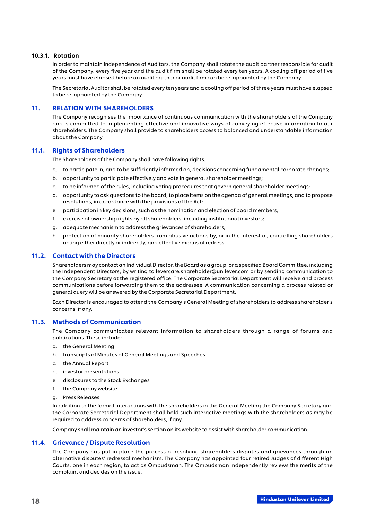#### <span id="page-18-0"></span>10.3.1. Rotation

In order to maintain independence of Auditors, the Company shall rotate the audit partner responsible for audit of the Company, every five year and the audit firm shall be rotated every ten years. A cooling off period of five years must have elapsed before an audit partner or audit firm can be re-appointed by the Company.

The Secretarial Auditor shall be rotated every ten years and a cooling off period of three years must have elapsed to be re-appointed by the Company.

#### 11. RELATION WITH SHAREHOLDERS

The Company recognises the importance of continuous communication with the shareholders of the Company and is committed to implementing effective and innovative ways of conveying effective information to our shareholders. The Company shall provide to shareholders access to balanced and understandable information about the Company.

### 11.1. Rights of Shareholders

The Shareholders of the Company shall have following rights:

- a. to participate in, and to be sufficiently informed on, decisions concerning fundamental corporate changes;
- b. opportunity to participate effectively and vote in general shareholder meetings;
- c. to be informed of the rules, including voting procedures that govern general shareholder meetings;
- d. opportunity to ask questions to the board, to place items on the agenda of general meetings, and to propose resolutions, in accordance with the provisions of the Act;
- e. participation in key decisions, such as the nomination and election of board members;
- f. exercise of ownership rights by all shareholders, including institutional investors;
- g. adequate mechanism to address the grievances of shareholders;
- h. protection of minority shareholders from abusive actions by, or in the interest of, controlling shareholders acting either directly or indirectly, and effective means of redress.

# 11.2. Contact with the Directors

Shareholders may contact an Individual Director, the Board as a group, or a specified Board Committee, including the Independent Directors, by writing to [levercare.shareholder@unilever.com](mailto:levercare.shareholder@unilever.com) or by sending communication to the Company Secretary at the registered office. The Corporate Secretarial Department will receive and process communications before forwarding them to the addressee. A communication concerning a process related or general query will be answered by the Corporate Secretarial Department.

Each Director is encouraged to attend the Company's General Meeting of shareholders to address shareholder's concerns, if any.

#### 11.3. Methods of Communication

The Company communicates relevant information to shareholders through a range of forums and publications. These include:

- a. the General Meeting
- b. transcripts of Minutes of General Meetings and Speeches
- c. the Annual Report
- d. investor presentations
- e. disclosures to the Stock Exchanges
- f. the Company website
- g. Press Releases

In addition to the formal interactions with the shareholders in the General Meeting the Company Secretary and the Corporate Secretarial Department shall hold such interactive meetings with the shareholders as may be required to address concerns of shareholders, if any.

Company shall maintain an investor's section on its website to assist with shareholder communication.

#### 11.4. Grievance / Dispute Resolution

The Company has put in place the process of resolving shareholders disputes and grievances through an alternative disputes' redressal mechanism. The Company has appointed four retired Judges of different High Courts, one in each region, to act as Ombudsman. The Ombudsman independently reviews the merits of the complaint and decides on the issue.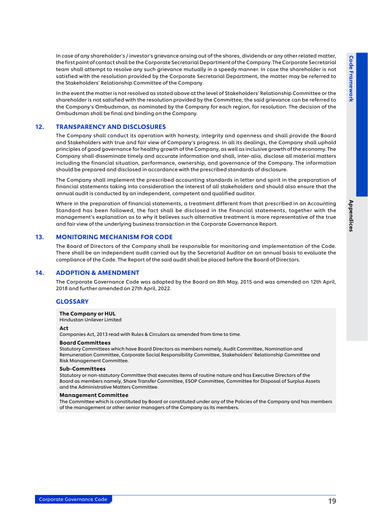<span id="page-19-0"></span>In case of any shareholder's / investor's grievance arising out of the shares, dividends or any other related matter, the first point of contact shall be the Corporate Secretarial Department of the Company. The Corporate Secretarial team shall attempt to resolve any such grievance mutually in a speedy manner. In case the shareholder is not satisfied with the resolution provided by the Corporate Secretarial Department, the matter may be referred to the Stakeholders' Relationship Committee of the Company.

In the event the matter is not resolved as stated above at the level of Stakeholders' Relationship Committee or the shareholder is not satisfied with the resolution provided by the Committee, the said grievance can be referred to the Company's Ombudsman, as nominated by the Company for each region, for resolution. The decision of the Ombudsman shall be final and binding on the Company.

#### 12. TRANSPARENCY AND DISCLOSURES

The Company shall conduct its operation with honesty, integrity and openness and shall provide the Board and Stakeholders with true and fair view of Company's progress. In all its dealings, the Company shall uphold principles of good governance for healthy growth of the Company, as well as inclusive growth of the economy. The Company shall disseminate timely and accurate information and shall, inter-alia, disclose all material matters including the financial situation, performance, ownership, and governance of the Company. The information should be prepared and disclosed in accordance with the prescribed standards of disclosure.

The Company shall implement the prescribed accounting standards in letter and spirit in the preparation of financial statements taking into consideration the interest of all stakeholders and should also ensure that the annual audit is conducted by an independent, competent and qualified auditor.

Where in the preparation of financial statements, a treatment different from that prescribed in an Accounting Standard has been followed, the fact shall be disclosed in the financial statements, together with the management's explanation as to why it believes such alternative treatment is more representative of the true and fair view of the underlying business transaction in the Corporate Governance Report.

#### 13. MONITORING MECHANISM FOR CODE

The Board of Directors of the Company shall be responsible for monitoring and implementation of the Code. There shall be an independent audit carried out by the Secretarial Auditor on an annual basis to evaluate the compliance of the Code. The Report of the said audit shall be placed before the Board of Directors.

#### 14. ADOPTION & AMENDMENT

The Corporate Governance Code was adopted by the Board on 8th May, 2015 and was amended on 12th April, 2018 and further amended on 27th April, 2022.

#### **GLOSSARY**

#### The Company or HUL

Hindustan Unilever Limited

#### Act

Companies Act, 2013 read with Rules & Circulars as amended from time to time.

#### Board Committees

Statutory Committees which have Board Directors as members namely, Audit Committee, Nomination and Remuneration Committee, Corporate Social Responsibility Committee, Stakeholders' Relationship Committee and Risk Management Committee.

#### Sub-Committees

Statutory or non-statutory Committee that executes items of routine nature and has Executive Directors of the Board as members namely, Share Transfer Committee, ESOP Committee, Committee for Disposal of Surplus Assets and the Administrative Matters Committee.

#### Management Committee

The Committee which is constituted by Board or constituted under any of the Policies of the Company and has members of the management or other senior managers of the Company as its members.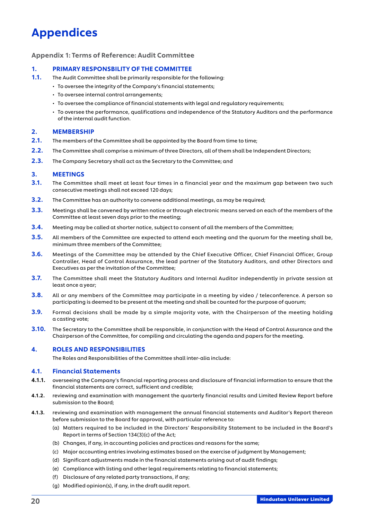# <span id="page-20-0"></span>Appendices

#### Appendix 1: Terms of Reference: Audit Committee

#### 1. PRIMARY RESPONSBILITY OF THE COMMITTEE

- 1.1. The Audit Committee shall be primarily responsible for the following:
	- To oversee the integrity of the Company's financial statements;
	- To oversee internal control arrangements;
	- To oversee the compliance of financial statements with legal and regulatory requirements;
	- To oversee the performance, qualifications and independence of the Statutory Auditors and the performance of the internal audit function.

#### 2. MEMBERSHIP

- 2.1. The members of the Committee shall be appointed by the Board from time to time;
- 2.2. The Committee shall comprise a minimum of three Directors, all of them shall be Independent Directors;
- 2.3. The Company Secretary shall act as the Secretary to the Committee; and

#### 3. MEETINGS

- 3.1. The Committee shall meet at least four times in a financial year and the maximum gap between two such consecutive meetings shall not exceed 120 days;
- **3.2.** The Committee has an authority to convene additional meetings, as may be required;
- 3.3. Meetings shall be convened by written notice or through electronic means served on each of the members of the Committee at least seven days prior to the meeting;
- 3.4. Meeting may be called at shorter notice, subject to consent of all the members of the Committee;
- **3.5.** All members of the Committee are expected to attend each meeting and the quorum for the meeting shall be, minimum three members of the Committee;
- 3.6. Meetings of the Committee may be attended by the Chief Executive Officer, Chief Financial Officer, Group Controller, Head of Control Assurance, the lead partner of the Statutory Auditors, and other Directors and Executives as per the invitation of the Committee;
- 3.7. The Committee shall meet the Statutory Auditors and Internal Auditor independently in private session at least once a year;
- 3.8. All or any members of the Committee may participate in a meeting by video / teleconference. A person so participating is deemed to be present at the meeting and shall be counted for the purpose of quorum;
- 3.9. Formal decisions shall be made by a simple majority vote, with the Chairperson of the meeting holding a casting vote;
- **3.10.** The Secretary to the Committee shall be responsible, in conjunction with the Head of Control Assurance and the Chairperson of the Committee, for compiling and circulating the agenda and papers for the meeting.

#### 4. ROLES AND RESPONSIBILITIES

The Roles and Responsibilities of the Committee shall inter-alia include:

#### 4.1. Financial Statements

- 4.1.1. overseeing the Company's financial reporting process and disclosure of financial information to ensure that the financial statements are correct, sufficient and credible;
- 4.1.2. reviewing and examination with management the quarterly financial results and Limited Review Report before submission to the Board;
- 4.1.3. reviewing and examination with management the annual financial statements and Auditor's Report thereon before submission to the Board for approval, with particular reference to:
	- (a) Matters required to be included in the Directors' Responsibility Statement to be included in the Board's Report in terms of Section 134(3)(c) of the Act;
	- (b) Changes, if any, in accounting policies and practices and reasons for the same;
	- (c) Major accounting entries involving estimates based on the exercise of judgment by Management;
	- (d) Significant adjustments made in the financial statements arising out of audit findings;
	- (e) Compliance with listing and other legal requirements relating to financial statements;
	- (f) Disclosure of any related party transactions, if any;
	- (g) Modified opinion(s), if any, in the draft audit report.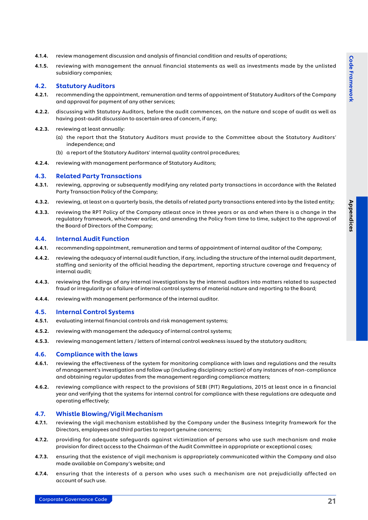- 4.1.4. review management discussion and analysis of financial condition and results of operations;
- 4.1.5. reviewing with management the annual financial statements as well as investments made by the unlisted subsidiary companies;

### 4.2. Statutory Auditors

- 4.2.1. recommending the appointment, remuneration and terms of appointment of Statutory Auditors of the Company and approval for payment of any other services;
- 4.2.2. discussing with Statutory Auditors, before the audit commences, on the nature and scope of audit as well as having post-audit discussion to ascertain area of concern, if any;
- 4.2.3. reviewing at least annually:
	- (a) the report that the Statutory Auditors must provide to the Committee about the Statutory Auditors' independence; and
	- (b) a report of the Statutory Auditors' internal quality control procedures;
- 4.2.4. reviewing with management performance of Statutory Auditors;

#### 4.3. Related Party Transactions

- 4.3.1. reviewing, approving or subsequently modifying any related party transactions in accordance with the Related Party Transaction Policy of the Company;
- 4.3.2. reviewing, at least on a quarterly basis, the details of related party transactions entered into by the listed entity;
- 4.3.3. reviewing the RPT Policy of the Company atleast once in three years or as and when there is a change in the regulatory framework, whichever earlier, and amending the Policy from time to time, subject to the approval of the Board of Directors of the Company;

#### 4.4. Internal Audit Function

- 4.4.1. recommending appointment, remuneration and terms of appointment of internal auditor of the Company;
- 4.4.2. reviewing the adequacy of internal audit function, if any, including the structure of the internal audit department, staffing and seniority of the official heading the department, reporting structure coverage and frequency of internal audit;
- 4.4.3. reviewing the findings of any internal investigations by the internal auditors into matters related to suspected fraud or irregularity or a failure of internal control systems of material nature and reporting to the Board;
- 4.4.4. reviewing with management performance of the internal auditor.

#### 4.5. Internal Control Systems

- 4.5.1. evaluating internal financial controls and risk management systems;
- 4.5.2. reviewing with management the adequacy of internal control systems;
- 4.5.3. reviewing management letters / letters of internal control weakness issued by the statutory auditors;

#### 4.6. Compliance with the laws

- 4.6.1. reviewing the effectiveness of the system for monitoring compliance with laws and regulations and the results of management's investigation and follow up (including disciplinary action) of any instances of non-compliance and obtaining regular updates from the management regarding compliance matters;
- 4.6.2. reviewing compliance with respect to the provisions of SEBI (PIT) Regulations, 2015 at least once in a financial year and verifying that the systems for internal control for compliance with these regulations are adequate and operating effectively;

#### 4.7. Whistle Blowing/Vigil Mechanism

- 4.7.1. reviewing the vigil mechanism established by the Company under the Business Integrity framework for the Directors, employees and third parties to report genuine concerns;
- 4.7.2. providing for adequate safeguards against victimization of persons who use such mechanism and make provision for direct access to the Chairman of the Audit Committee in appropriate or exceptional cases;
- 4.7.3. ensuring that the existence of vigil mechanism is appropriately communicated within the Company and also made available on Company's website; and
- 4.7.4. ensuring that the interests of a person who uses such a mechanism are not prejudicially affected on account of such use.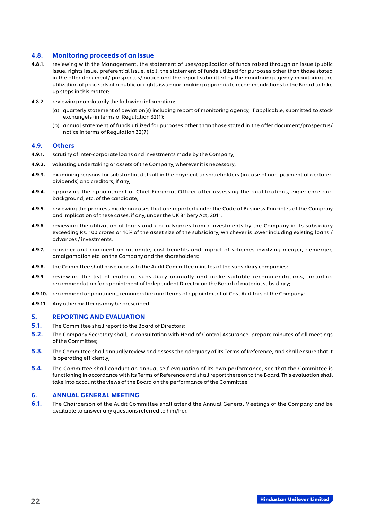#### 4.8. Monitoring proceeds of an issue

- 4.8.1. reviewing with the Management, the statement of uses/application of funds raised through an issue (public issue, rights issue, preferential issue, etc.), the statement of funds utilized for purposes other than those stated in the offer document/ prospectus/ notice and the report submitted by the monitoring agency monitoring the utilization of proceeds of a public or rights issue and making appropriate recommendations to the Board to take up steps in this matter;
- 4.8.2. reviewing mandatorily the following information:
	- (a) quarterly statement of deviation(s) including report of monitoring agency, if applicable, submitted to stock exchange(s) in terms of Regulation 32(1);
	- (b) annual statement of funds utilized for purposes other than those stated in the offer document/prospectus/ notice in terms of Regulation 32(7).

#### 4.9. Others

- 4.9.1. scrutiny of inter-corporate loans and investments made by the Company;
- 4.9.2. valuating undertaking or assets of the Company, wherever it is necessary;
- 4.9.3. examining reasons for substantial default in the payment to shareholders (in case of non-payment of declared dividends) and creditors, if any;
- 4.9.4. approving the appointment of Chief Financial Officer after assessing the qualifications, experience and background, etc. of the candidate;
- 4.9.5. reviewing the progress made on cases that are reported under the Code of Business Principles of the Company and implication of these cases, if any, under the UK Bribery Act, 2011.
- 4.9.6. reviewing the utilization of loans and / or advances from / investments by the Company in its subsidiary exceeding Rs. 100 crores or 10% of the asset size of the subsidiary, whichever is lower including existing loans / advances / investments;
- 4.9.7. consider and comment on rationale, cost-benefits and impact of schemes involving merger, demerger, amalgamation etc. on the Company and the shareholders;
- 4.9.8. the Committee shall have access to the Audit Committee minutes of the subsidiary companies;
- 4.9.9. reviewing the list of material subsidiary annually and make suitable recommendations, including recommendation for appointment of Independent Director on the Board of material subsidiary;
- 4.9.10. recommend appointment, remuneration and terms of appointment of Cost Auditors of the Company;
- 4.9.11. Any other matter as may be prescribed.

#### 5. REPORTING AND EVALUATION

- **5.1.** The Committee shall report to the Board of Directors;
- 5.2. The Company Secretary shall, in consultation with Head of Control Assurance, prepare minutes of all meetings of the Committee;
- 5.3. The Committee shall annually review and assess the adequacy of its Terms of Reference, and shall ensure that it is operating efficiently;
- 5.4. The Committee shall conduct an annual self-evaluation of its own performance, see that the Committee is functioning in accordance with its Terms of Reference and shall report thereon to the Board. This evaluation shall take into account the views of the Board on the performance of the Committee.

#### 6. ANNUAL GENERAL MEETING

6.1. The Chairperson of the Audit Committee shall attend the Annual General Meetings of the Company and be available to answer any questions referred to him/her.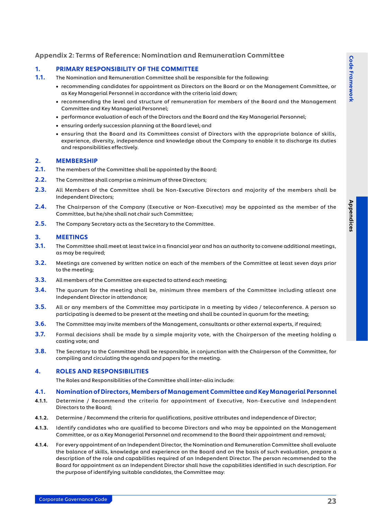# <span id="page-23-0"></span>Appendix 2: Terms of Reference: Nomination and Remuneration Committee

### 1. PRIMARY RESPONSIBILITY OF THE COMMITTEE

- 1.1. The Nomination and Remuneration Committee shall be responsible for the following:
	- • recommending candidates for appointment as Directors on the Board or on the Management Committee, or as Key Managerial Personnel in accordance with the criteria laid down;
	- • recommending the level and structure of remuneration for members of the Board and the Management Committee and Key Managerial Personnel;
	- • performance evaluation of each of the Directors and the Board and the Key Managerial Personnel;
	- • ensuring orderly succession planning at the Board level; and
	- • ensuring that the Board and its Committees consist of Directors with the appropriate balance of skills, experience, diversity, independence and knowledge about the Company to enable it to discharge its duties and responsibilities effectively.

#### 2. MEMBERSHIP

- 2.1. The members of the Committee shall be appointed by the Board;
- 2.2. The Committee shall comprise a minimum of three Directors;
- 2.3. All Members of the Committee shall be Non-Executive Directors and majority of the members shall be Independent Directors;
- 2.4. The Chairperson of the Company (Executive or Non-Executive) may be appointed as the member of the Committee, but he/she shall not chair such Committee;
- 2.5. The Company Secretary acts as the Secretary to the Committee.

### 3. MEETINGS

- 3.1. The Committee shall meet at least twice in a financial year and has an authority to convene additional meetings, as may be required;
- 3.2. Meetings are convened by written notice on each of the members of the Committee at least seven days prior to the meeting;
- 3.3. All members of the Committee are expected to attend each meeting;
- 3.4. The quorum for the meeting shall be, minimum three members of the Committee including atleast one Independent Director in attendance;
- 3.5. All or any members of the Committee may participate in a meeting by video / teleconference. A person so participating is deemed to be present at the meeting and shall be counted in quorum for the meeting;
- **3.6.** The Committee may invite members of the Management, consultants or other external experts, if required;
- 3.7. Formal decisions shall be made by a simple majority vote, with the Chairperson of the meeting holding a casting vote; and
- 3.8. The Secretary to the Committee shall be responsible, in conjunction with the Chairperson of the Committee, for compiling and circulating the agenda and papers for the meeting.

#### 4. ROLES AND RESPONSIBILITIES

The Roles and Responsibilities of the Committee shall inter-alia include:

#### 4.1. Nomination of Directors, Members of Management Committee and Key Managerial Personnel

- 4.1.1. Determine / Recommend the criteria for appointment of Executive, Non-Executive and Independent Directors to the Board;
- 4.1.2. Determine / Recommend the criteria for qualifications, positive attributes and independence of Director;
- 4.1.3. Identify candidates who are qualified to become Directors and who may be appointed on the Management Committee, or as a Key Managerial Personnel and recommend to the Board their appointment and removal;
- 4.1.4. For every appointment of an Independent Director, the Nomination and Remuneration Committee shall evaluate the balance of skills, knowledge and experience on the Board and on the basis of such evaluation, prepare a description of the role and capabilities required of an Independent Director. The person recommended to the Board for appointment as an Independent Director shall have the capabilities identified in such description. For the purpose of identifying suitable candidates, the Committee may: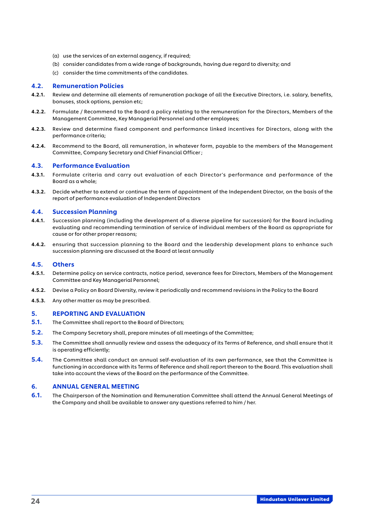- (a) use the services of an external aagency, if required;
- (b) consider candidates from a wide range of backgrounds, having due regard to diversity; and
- (c) consider the time commitments of the candidates.

#### 4.2. Remuneration Policies

- 4.2.1. Review and determine all elements of remuneration package of all the Executive Directors, i.e. salary, benefits, bonuses, stock options, pension etc;
- 4.2.2. Formulate / Recommend to the Board a policy relating to the remuneration for the Directors, Members of the Management Committee, Key Managerial Personnel and other employees;
- 4.2.3. Review and determine fixed component and performance linked incentives for Directors, along with the performance criteria;
- 4.2.4. Recommend to the Board, all remuneration, in whatever form, payable to the members of the Management Committee, Company Secretary and Chief Financial Officer ;

#### 4.3. Performance Evaluation

- 4.3.1. Formulate criteria and carry out evaluation of each Director's performance and performance of the Board as a whole;
- 4.3.2. Decide whether to extend or continue the term of appointment of the Independent Director, on the basis of the report of performance evaluation of Independent Directors

#### 4.4. Succession Planning

- 4.4.1. Succession planning (including the development of a diverse pipeline for succession) for the Board including evaluating and recommending termination of service of individual members of the Board as appropriate for cause or for other proper reasons;
- 4.4.2. ensuring that succession planning to the Board and the leadership development plans to enhance such succession planning are discussed at the Board at least annually

#### 4.5. Others

- 4.5.1. Determine policy on service contracts, notice period, severance fees for Directors, Members of the Management Committee and Key Managerial Personnel;
- 4.5.2. Devise a Policy on Board Diversity, review it periodically and recommend revisions in the Policy to the Board
- 4.5.3. Any other matter as may be prescribed.

#### 5. REPORTING AND EVALUATION

- 5.1. The Committee shall report to the Board of Directors;
- 5.2. The Company Secretary shall, prepare minutes of all meetings of the Committee;
- 5.3. The Committee shall annually review and assess the adequacy of its Terms of Reference, and shall ensure that it is operating efficiently;
- 5.4. The Committee shall conduct an annual self-evaluation of its own performance, see that the Committee is functioning in accordance with its Terms of Reference and shall report thereon to the Board. This evaluation shall take into account the views of the Board on the performance of the Committee.

#### 6. ANNUAL GENERAL MEETING

6.1. The Chairperson of the Nomination and Remuneration Committee shall attend the Annual General Meetings of the Company and shall be available to answer any questions referred to him / her.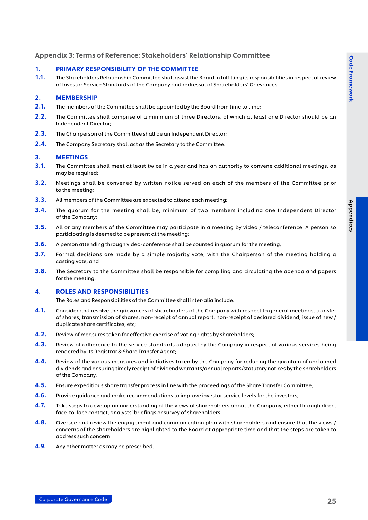# <span id="page-25-0"></span>Appendix 3: Terms of Reference: Stakeholders' Relationship Committee

### 1. PRIMARY RESPONSIBILITY OF THE COMMITTEE

1.1. The Stakeholders Relationship Committee shall assist the Board in fulfilling its responsibilities in respect of review of Investor Service Standards of the Company and redressal of Shareholders' Grievances.

### 2. MEMBERSHIP

- 2.1. The members of the Committee shall be appointed by the Board from time to time;
- 2.2. The Committee shall comprise of a minimum of three Directors, of which at least one Director should be an Independent Director;
- 2.3. The Chairperson of the Committee shall be an Independent Director;
- 2.4. The Company Secretary shall act as the Secretary to the Committee.

### 3. MEETINGS

- 3.1. The Committee shall meet at least twice in a year and has an authority to convene additional meetings, as may be required;
- 3.2. Meetings shall be convened by written notice served on each of the members of the Committee prior to the meeting;
- **3.3.** All members of the Committee are expected to attend each meeting;
- 3.4. The quorum for the meeting shall be, minimum of two members including one Independent Director of the Company;
- **3.5.** All or any members of the Committee may participate in a meeting by video / teleconference. A person so participating is deemed to be present at the meeting;
- 3.6. A person attending through video-conference shall be counted in quorum for the meeting;
- **3.7.** Formal decisions are made by a simple majority vote, with the Chairperson of the meeting holding a casting vote; and
- 3.8. The Secretary to the Committee shall be responsible for compiling and circulating the agenda and papers for the meeting.

#### 4. ROLES AND RESPONSIBILITIES

The Roles and Responsibilities of the Committee shall inter-alia include:

- 4.1. Consider and resolve the grievances of shareholders of the Company with respect to general meetings, transfer of shares, transmission of shares, non-receipt of annual report, non-receipt of declared dividend, issue of new / duplicate share certificates, etc;
- **4.2.** Review of measures taken for effective exercise of voting rights by shareholders;
- 4.3. Review of adherence to the service standards adopted by the Company in respect of various services being rendered by its Registrar & Share Transfer Agent;
- 4.4. Review of the various measures and initiatives taken by the Company for reducing the quantum of unclaimed dividends and ensuring timely receipt of dividend warrants/annual reports/statutory notices by the shareholders of the Company.
- 4.5. Ensure expeditious share transfer process in line with the proceedings of the Share Transfer Committee;
- 4.6. Provide quidance and make recommendations to improve investor service levels for the investors;
- 4.7. Take steps to develop an understanding of the views of shareholders about the Company, either through direct face-to-face contact, analysts' briefings or survey of shareholders.
- 4.8. Oversee and review the engagement and communication plan with shareholders and ensure that the views / concerns of the shareholders are highlighted to the Board at appropriate time and that the steps are taken to address such concern.
- **4.9.** Any other matter as may be prescribed.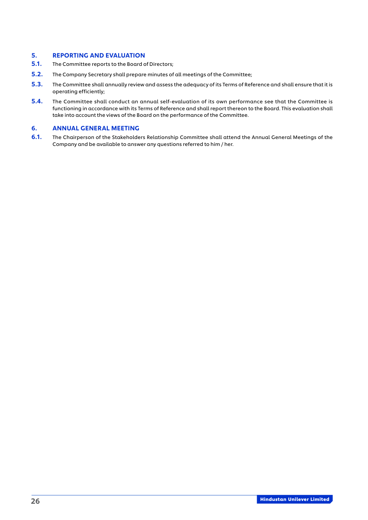# 5. REPORTING AND EVALUATION

- **5.1.** The Committee reports to the Board of Directors;
- 5.2. The Company Secretary shall prepare minutes of all meetings of the Committee;
- 5.3. The Committee shall annually review and assess the adequacy of its Terms of Reference and shall ensure that it is operating efficiently;
- 5.4. The Committee shall conduct an annual self-evaluation of its own performance see that the Committee is functioning in accordance with its Terms of Reference and shall report thereon to the Board. This evaluation shall take into account the views of the Board on the performance of the Committee.

#### 6. ANNUAL GENERAL MEETING

6.1. The Chairperson of the Stakeholders Relationship Committee shall attend the Annual General Meetings of the Company and be available to answer any questions referred to him / her.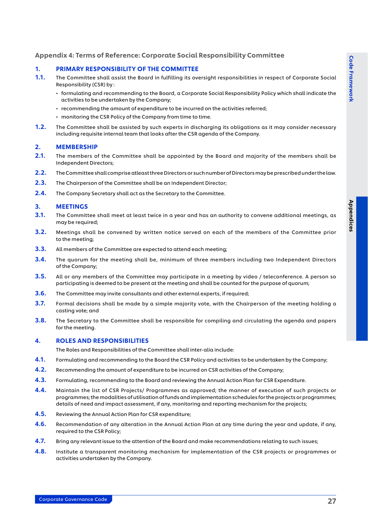# <span id="page-27-0"></span>Appendix 4: Terms of Reference: Corporate Social Responsibility Committee

### 1. PRIMARY RESPONSIBILITY OF THE COMMITTEE

- 1.1. The Committee shall assist the Board in fulfilling its oversight responsibilities in respect of Corporate Social Responsibility (CSR) by :
	- formulating and recommending to the Board, a Corporate Social Responsibility Policy which shall indicate the activities to be undertaken by the Company;
	- recommending the amount of expenditure to be incurred on the activities referred;
	- monitoring the CSR Policy of the Company from time to time.
- 1.2. The Committee shall be assisted by such experts in discharging its obligations as it may consider necessary including requisite internal team that looks after the CSR agenda of the Company.

#### 2. MEMBERSHIP

- 2.1. The members of the Committee shall be appointed by the Board and majority of the members shall be Independent Directors;
- 2.2. The Committee shall comprise atleast three Directors or such number of Directors may be prescribed under the law.
- 2.3. The Chairperson of the Committee shall be an Independent Director;
- 2.4. The Company Secretary shall act as the Secretary to the Committee.

#### 3. MEETINGS

- 3.1. The Committee shall meet at least twice in a year and has an authority to convene additional meetings, as may be required;
- 3.2. Meetings shall be convened by written notice served on each of the members of the Committee prior to the meeting;
- **3.3.** All members of the Committee are expected to attend each meeting;
- 3.4. The quorum for the meeting shall be, minimum of three members including two Independent Directors of the Company;
- 3.5. All or any members of the Committee may participate in a meeting by video / teleconference. A person so participating is deemed to be present at the meeting and shall be counted for the purpose of quorum;
- 3.6. The Committee may invite consultants and other external experts, if required;
- 3.7. Formal decisions shall be made by a simple majority vote, with the Chairperson of the meeting holding a casting vote; and
- 3.8. The Secretary to the Committee shall be responsible for compiling and circulating the agenda and papers for the meeting.

#### 4. ROLES AND RESPONSIBILITIES

The Roles and Responsibilities of the Committee shall inter-alia include:

- 4.1. Formulating and recommending to the Board the CSR Policy and activities to be undertaken by the Company;
- 4.2. Recommending the amount of expenditure to be incurred on CSR activities of the Company;
- 4.3. Formulating, recommending to the Board and reviewing the Annual Action Plan for CSR Expenditure.
- 4.4. Maintain the list of CSR Projects/ Programmes as approved; the manner of execution of such projects or programmes; the modalities of utilisation of funds and implementation schedules for the projects or programmes; details of need and impact assessment, if any, monitoring and reporting mechanism for the projects;
- 4.5. Reviewing the Annual Action Plan for CSR expenditure;
- 4.6. Recommendation of any alteration in the Annual Action Plan at any time during the year and update, if any, required to the CSR Policy;
- 4.7. Bring any relevant issue to the attention of the Board and make recommendations relating to such issues;
- 4.8. Institute a transparent monitoring mechanism for implementation of the CSR projects or programmes or activities undertaken by the Company.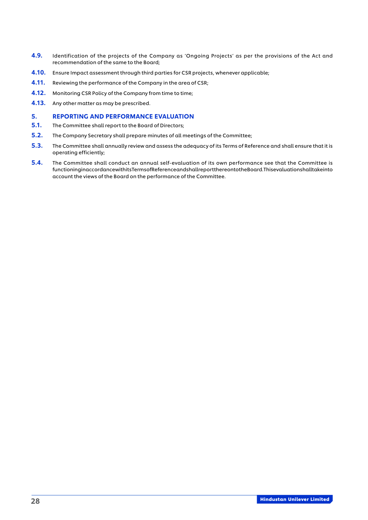- 4.9. Identification of the projects of the Company as 'Ongoing Projects' as per the provisions of the Act and recommendation of the same to the Board;
- 4.10. Ensure Impact assessment through third parties for CSR projects, whenever applicable;
- **4.11.** Reviewing the performance of the Company in the area of CSR;
- 4.12. Monitoring CSR Policy of the Company from time to time;
- **4.13.** Any other matter as may be prescribed.

#### 5. REPORTING AND PERFORMANCE EVALUATION

- 5.1. The Committee shall report to the Board of Directors;
- 5.2. The Company Secretary shall prepare minutes of all meetings of the Committee;
- 5.3. The Committee shall annually review and assess the adequacy of its Terms of Reference and shall ensure that it is operating efficiently;
- 5.4. The Committee shall conduct an annual self-evaluation of its own performance see that the Committee is functioning in accordance with its Terms of Reference and shall report the reonto the Board. This evaluations hall take into account the views of the Board on the performance of the Committee.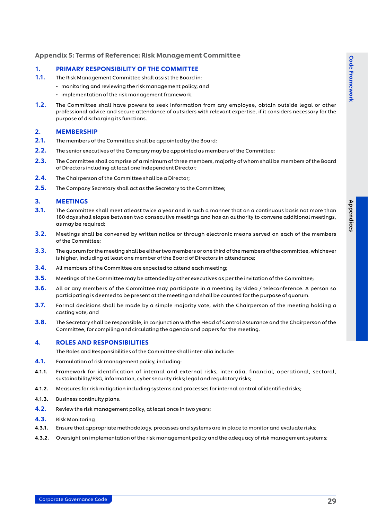# <span id="page-29-0"></span>Appendix 5: Terms of Reference: Risk Management Committee

#### 1. PRIMARY RESPONSIBILITY OF THE COMMITTEE

- 1.1. The Risk Management Committee shall assist the Board in:
	- monitoring and reviewing the risk management policy; and
	- implementation of the risk management framework.
- 1.2. The Committee shall have powers to seek information from any employee, obtain outside legal or other professional advice and secure attendance of outsiders with relevant expertise, if it considers necessary for the purpose of discharging its functions.

#### 2. MEMBERSHIP

- 2.1. The members of the Committee shall be appointed by the Board;
- 2.2. The senior executives of the Company may be appointed as members of the Committee;
- 2.3. The Committee shall comprise of a minimum of three members, majority of whom shall be members of the Board of Directors including at least one Independent Director;
- 2.4. The Chairperson of the Committee shall be a Director;
- 2.5. The Company Secretary shall act as the Secretary to the Committee;

#### 3. MEETINGS

- 3.1. The Committee shall meet atleast twice a year and in such a manner that on a continuous basis not more than 180 days shall elapse between two consecutive meetings and has an authority to convene additional meetings, as may be required;
- 3.2. Meetings shall be convened by written notice or through electronic means served on each of the members of the Committee;
- 3.3. The quorum for the meeting shall be either two members or one third of the members of the committee, whichever is higher, including at least one member of the Board of Directors in attendance;
- 3.4. All members of the Committee are expected to attend each meeting;
- 3.5. Meetings of the Committee may be attended by other executives as per the invitation of the Committee;
- 3.6. All or any members of the Committee may participate in a meeting by video / teleconference. A person so participating is deemed to be present at the meeting and shall be counted for the purpose of quorum.
- 3.7. Formal decisions shall be made by a simple majority vote, with the Chairperson of the meeting holding a casting vote; and
- 3.8. The Secretary shall be responsible, in conjunction with the Head of Control Assurance and the Chairperson of the Committee, for compiling and circulating the agenda and papers for the meeting.

#### 4. ROLES AND RESPONSIBILITIES

The Roles and Responsibilities of the Committee shall inter-alia include:

- 4.1. Formulation of risk management policy, including:
- 4.1.1. Framework for identification of internal and external risks, inter-alia, financial, operational, sectoral, sustainability/ESG, information, cyber security risks; legal and regulatory risks;
- 4.1.2. Measures for risk mitigation including systems and processes for internal control of identified risks;
- 4.1.3. Business continuity plans.
- **4.2.** Review the risk management policy, at least once in two years;
- 4.3. Risk Monitoring
- 4.3.1. Ensure that appropriate methodology, processes and systems are in place to monitor and evaluate risks;
- 4.3.2. Oversight on implementation of the risk management policy and the adequacy of risk management systems;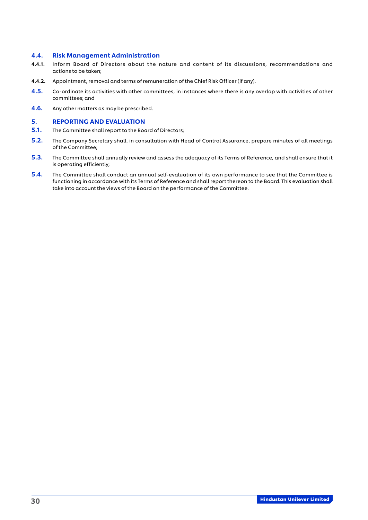#### 4.4. Risk Management Administration

- 4.4.1. Inform Board of Directors about the nature and content of its discussions, recommendations and actions to be taken;
- 4.4.2. Appointment, removal and terms of remuneration of the Chief Risk Officer (if any).
- 4.5. Co-ordinate its activities with other committees, in instances where there is any overlap with activities of other committees; and
- 4.6. Any other matters as may be prescribed.

- 5.1. The Committee shall report to the Board of Directors;
- 5.2. The Company Secretary shall, in consultation with Head of Control Assurance, prepare minutes of all meetings of the Committee;
- 5.3. The Committee shall annually review and assess the adequacy of its Terms of Reference, and shall ensure that it is operating efficiently;
- 5.4. The Committee shall conduct an annual self-evaluation of its own performance to see that the Committee is functioning in accordance with its Terms of Reference and shall report thereon to the Board. This evaluation shall take into account the views of the Board on the performance of the Committee.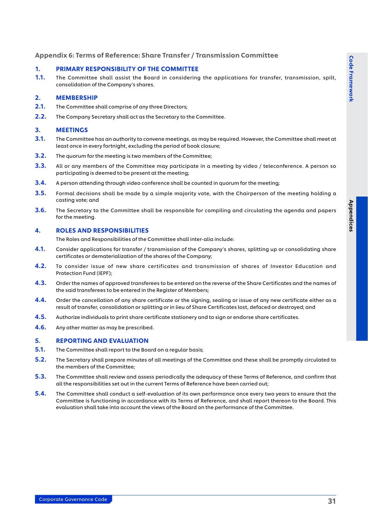# <span id="page-31-0"></span>Appendix 6: Terms of Reference: Share Transfer / Transmission Committee

#### 1. PRIMARY RESPONSIBILITY OF THE COMMITTEE

1.1. The Committee shall assist the Board in considering the applications for transfer, transmission, spilt, consolidation of the Company's shares.

# 2. MEMBERSHIP

- 2.1. The Committee shall comprise of any three Directors;
- 2.2. The Company Secretary shall act as the Secretary to the Committee.

#### 3. MEETINGS

- 3.1. The Committee has an authority to convene meetings, as may be required. However, the Committee shall meet at least once in every fortnight, excluding the period of book closure;
- **3.2.** The quorum for the meeting is two members of the Committee;
- 3.3. All or any members of the Committee may participate in a meeting by video / teleconference. A person so participating is deemed to be present at the meeting;
- 3.4. A person attending through video conference shall be counted in quorum for the meeting;
- 3.5. Formal decisions shall be made by a simple majority vote, with the Chairperson of the meeting holding a casting vote; and
- 3.6. The Secretary to the Committee shall be responsible for compiling and circulating the agenda and papers for the meeting.

#### 4. ROLES AND RESPONSIBILITIES

The Roles and Responsibilities of the Committee shall inter-alia include:

- 4.1. Consider applications for transfer / transmission of the Company's shares, splitting up or consolidating share certificates or dematerialization of the shares of the Company;
- 4.2. To consider issue of new share certificates and transmission of shares of Investor Education and Protection Fund (IEPF);
- 4.3. Order the names of approved transferees to be entered on the reverse of the Share Certificates and the names of the said transferees to be entered in the Register of Members;
- 4.4. Order the cancellation of any share certificate or the signing, sealing or issue of any new certificate either as a result of transfer, consolidation or splitting or in lieu of Share Certificates lost, defaced or destroyed; and
- 4.5. Authorize individuals to print share certificate stationery and to sign or endorse share certificates.
- **4.6.** Any other matter as may be prescribed.

- 5.1. The Committee shall report to the Board on a regular basis;
- 5.2. The Secretary shall prepare minutes of all meetings of the Committee and these shall be promptly circulated to the members of the Committee;
- 5.3. The Committee shall review and assess periodically the adequacy of these Terms of Reference, and confirm that all the responsibilities set out in the current Terms of Reference have been carried out;
- 5.4. The Committee shall conduct a self-evaluation of its own performance once every two years to ensure that the Committee is functioning in accordance with its Terms of Reference, and shall report thereon to the Board. This evaluation shall take into account the views of the Board on the performance of the Committee.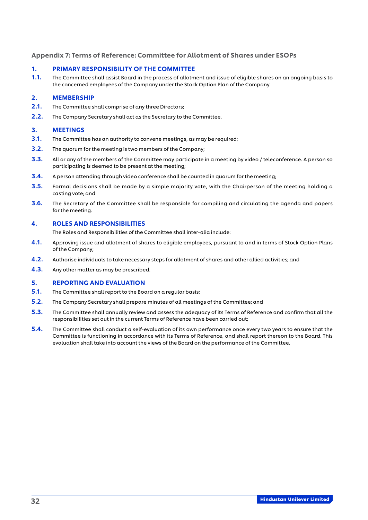# <span id="page-32-0"></span>Appendix 7: Terms of Reference: Committee for Allotment of Shares under ESOPs

#### 1. PRIMARY RESPONSIBILITY OF THE COMMITTEE

1.1. The Committee shall assist Board in the process of allotment and issue of eligible shares on an ongoing basis to the concerned employees of the Company under the Stock Option Plan of the Company.

# 2. MEMBERSHIP

- 2.1. The Committee shall comprise of any three Directors;
- 2.2. The Company Secretary shall act as the Secretary to the Committee.

#### 3. MEETINGS

- **3.1.** The Committee has an authority to convene meetings, as may be required;
- **3.2.** The quorum for the meeting is two members of the Company;
- 3.3. All or any of the members of the Committee may participate in a meeting by video / teleconference. A person so participating is deemed to be present at the meeting;
- 3.4. A person attending through video conference shall be counted in quorum for the meeting;
- **3.5.** Formal decisions shall be made by a simple majority vote, with the Chairperson of the meeting holding a casting vote; and
- 3.6. The Secretary of the Committee shall be responsible for compiling and circulating the agenda and papers for the meeting.

### 4. ROLES AND RESPONSIBILITIES

The Roles and Responsibilities of the Committee shall inter-alia include:

- 4.1. Approving issue and allotment of shares to eligible employees, pursuant to and in terms of Stock Option Plans of the Company;
- 4.2. Authorise individuals to take necessary steps for allotment of shares and other allied activities; and
- 4.3. Any other matter as may be prescribed.

- **5.1.** The Committee shall report to the Board on a regular basis;
- 5.2. The Company Secretary shall prepare minutes of all meetings of the Committee; and
- 5.3. The Committee shall annually review and assess the adequacy of its Terms of Reference and confirm that all the responsibilities set out in the current Terms of Reference have been carried out;
- 5.4. The Committee shall conduct a self-evaluation of its own performance once every two years to ensure that the Committee is functioning in accordance with its Terms of Reference, and shall report thereon to the Board. This evaluation shall take into account the views of the Board on the performance of the Committee.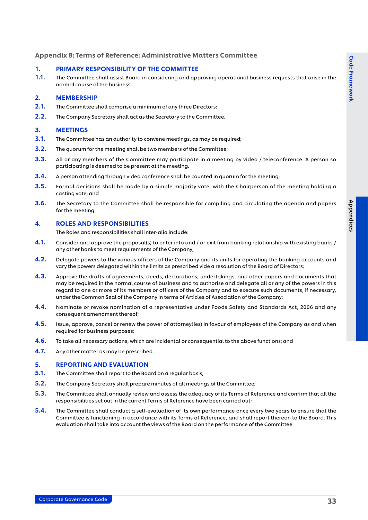# <span id="page-33-0"></span>Appendix 8: Terms of Reference: Administrative Matters Committee

#### 1. PRIMARY RESPONSIBILITY OF THE COMMITTEE

1.1. The Committee shall assist Board in considering and approving operational business requests that arise in the normal course of the business.

#### 2. MEMBERSHIP

- 2.1. The Committee shall comprise a minimum of any three Directors;
- 2.2. The Company Secretary shall act as the Secretary to the Committee.

#### 3. MEETINGS

- 3.1. The Committee has an authority to convene meetings, as may be required;
- **3.2.** The quorum for the meeting shall be two members of the Committee;
- 3.3. All or any members of the Committee may participate in a meeting by video / teleconference. A person so participating is deemed to be present at the meeting.
- 3.4. A person attending through video conference shall be counted in quorum for the meeting;
- **3.5.** Formal decisions shall be made by a simple majority vote, with the Chairperson of the meeting holding a casting vote; and
- 3.6. The Secretary to the Committee shall be responsible for compiling and circulating the agenda and papers for the meeting.

#### 4. ROLES AND RESPONSIBILITIES

The Roles and responsibilities shall inter-alia include:

- 4.1. Consider and approve the proposal(s) to enter into and / or exit from banking relationship with existing banks / any other banks to meet requirements of the Company;
- 4.2. Delegate powers to the various officers of the Company and its units for operating the banking accounts and vary the powers delegated within the limits as prescribed vide a resolution of the Board of Directors;
- 4.3. Approve the drafts of agreements, deeds, declarations, undertakings, and other papers and documents that may be required in the normal course of business and to authorise and delegate all or any of the powers in this regard to one or more of its members or officers of the Company and to execute such documents, if necessary, under the Common Seal of the Company in terms of Articles of Association of the Company;
- 4.4. Nominate or revoke nomination of a representative under Foods Safety and Standards Act, 2006 and any consequent amendment thereof;
- 4.5. Issue, approve, cancel or renew the power of attorney(ies) in favour of employees of the Company as and when required for business purposes;
- **4.6.** To take all necessary actions, which are incidental or consequential to the above functions; and
- 4.7. Any other matter as may be prescribed.

- 5.1. The Committee shall report to the Board on a regular basis;
- 5.2. The Company Secretary shall prepare minutes of all meetings of the Committee;
- 5.3. The Committee shall annually review and assess the adequacy of its Terms of Reference and confirm that all the responsibilities set out in the current Terms of Reference have been carried out;
- 5.4. The Committee shall conduct a self-evaluation of its own performance once every two years to ensure that the Committee is functioning in accordance with its Terms of Reference, and shall report thereon to the Board. This evaluation shall take into account the views of the Board on the performance of the Committee.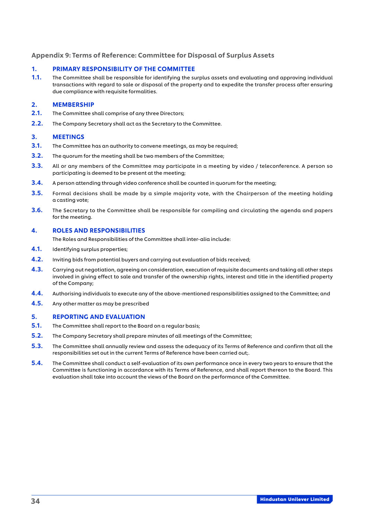# <span id="page-34-0"></span>Appendix 9: Terms of Reference: Committee for Disposal of Surplus Assets

#### 1. PRIMARY RESPONSIBILITY OF THE COMMITTEE

1.1. The Committee shall be responsible for identifying the surplus assets and evaluating and approving individual transactions with regard to sale or disposal of the property and to expedite the transfer process after ensuring due compliance with requisite formalities.

#### 2. MEMBERSHIP

- 2.1. The Committee shall comprise of any three Directors;
- 2.2. The Company Secretary shall act as the Secretary to the Committee.

#### 3. MEETINGS

- **3.1.** The Committee has an authority to convene meetings, as may be required;
- **3.2.** The quorum for the meeting shall be two members of the Committee;
- 3.3. All or any members of the Committee may participate in a meeting by video / teleconference. A person so participating is deemed to be present at the meeting;
- 3.4. A person attending through video conference shall be counted in quorum for the meeting;
- **3.5.** Formal decisions shall be made by a simple majority vote, with the Chairperson of the meeting holding a casting vote;
- 3.6. The Secretary to the Committee shall be responsible for compiling and circulating the agenda and papers for the meeting.

#### 4. ROLES AND RESPONSIBILITIES

The Roles and Responsibilities of the Committee shall inter-alia include:

- 4.1. Identifying surplus properties;
- **4.2.** Inviting bids from potential buyers and carrying out evaluation of bids received;
- **4.3.** Carrying out negotiation, agreeing on consideration, execution of requisite documents and taking all other steps involved in giving effect to sale and transfer of the ownership rights, interest and title in the identified property of the Company;
- 4.4. Authorising individuals to execute any of the above-mentioned responsibilities assigned to the Committee; and
- 4.5. Any other matter as may be prescribed

- 5.1. The Committee shall report to the Board on a regular basis;
- **5.2.** The Company Secretary shall prepare minutes of all meetings of the Committee;
- 5.3. The Committee shall annually review and assess the adequacy of its Terms of Reference and confirm that all the responsibilities set out in the current Terms of Reference have been carried out;.
- 5.4. The Committee shall conduct a self-evaluation of its own performance once in every two years to ensure that the Committee is functioning in accordance with its Terms of Reference, and shall report thereon to the Board. This evaluation shall take into account the views of the Board on the performance of the Committee.